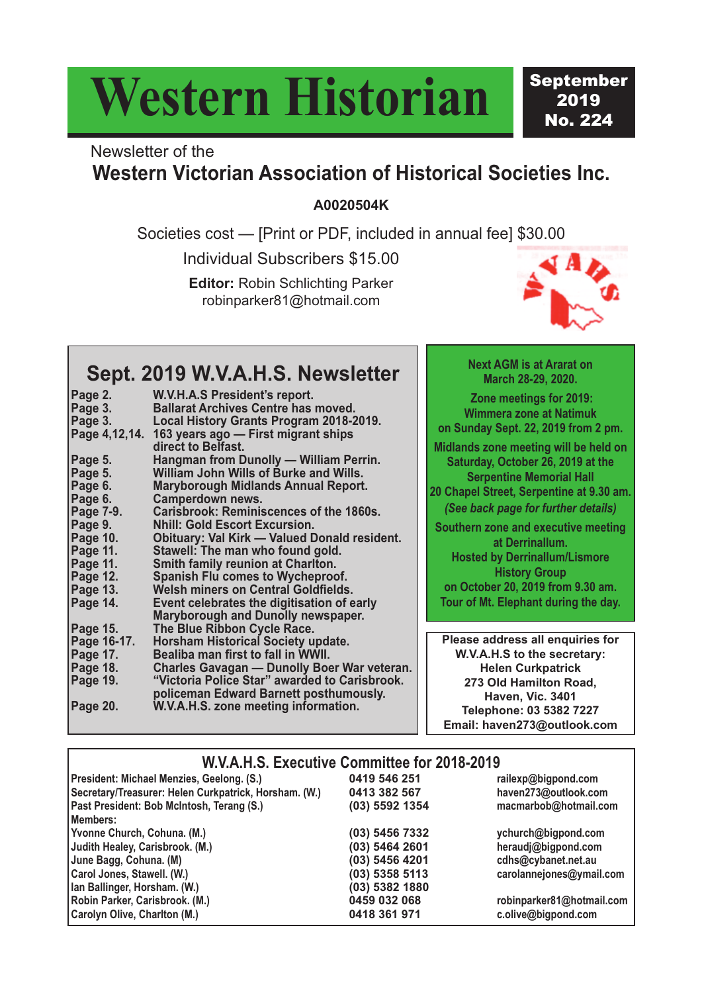# **Western Historian**

September 2019 No. 224

### Newsletter of the **Western Victorian Association of Historical Societies Inc.**

**A0020504K**

Societies cost — [Print or PDF, included in annual fee] \$30.00

Individual Subscribers \$15.00

**Editor:** Robin Schlichting Parker robinparker81@hotmail.com



### **Sept. 2019 W.V.A.H.S. Newsletter**

| Page 2.          | W.V.H.A.S President's report.                             |
|------------------|-----------------------------------------------------------|
| Page 3.          | <b>Ballarat Archives Centre has moved.</b>                |
| Page 3.          | Local History Grants Program 2018-2019.                   |
| Page 4,12,14.    | 163 years ago — First migrant ships<br>direct to Belfast. |
| Page 5.          | Hangman from Dunolly - William Perrin.                    |
| Page 5.          | William John Wills of Burke and Wills.                    |
| Page 6.          | <b>Maryborough Midlands Annual Report.</b>                |
| Page 6.          | <b>Camperdown news.</b>                                   |
| <b>Page 7-9.</b> | <b>Carisbrook: Reminiscences of the 1860s.</b>            |
| Page 9.          | <b>Nhill: Gold Escort Excursion.</b>                      |
| Page 10.         | <b>Obituary: Val Kirk - Valued Donald resident.</b>       |
| Page 11.         | Stawell: The man who found gold.                          |
| Page 11.         | <b>Smith family reunion at Charlton.</b>                  |
| <b>Page 12.</b>  | <b>Spanish Flu comes to Wycheproof.</b>                   |
| Page 13.         | <b>Welsh miners on Central Goldfields.</b>                |
| Page 14.         | Event celebrates the digitisation of early                |
|                  | <b>Maryborough and Dunolly newspaper.</b>                 |
| <b>Page 15.</b>  | The Blue Ribbon Cycle Race.                               |
| Page 16-17.      | <b>Horsham Historical Society update.</b>                 |
| Page 17.         | Bealiba man first to fall in WWII.                        |
| Page 18.         | <b>Charles Gavagan — Dunolly Boer War veteran.</b>        |
| Page 19.         | "Victoria Police Star" awarded to Carisbrook.             |
|                  | policeman Edward Barnett posthumously.                    |
| <b>Page 20.</b>  | W.V.A.H.S. zone meeting information.                      |
|                  |                                                           |

**Next AGM is at Ararat on March 28-29, 2020.**

**Zone meetings for 2019: Wimmera zone at Natimuk on Sunday Sept. 22, 2019 from 2 pm.**

**Midlands zone meeting will be held on Saturday, October 26, 2019 at the Serpentine Memorial Hall**

**20 Chapel Street, Serpentine at 9.30 am.** *(See back page for further details)*

**Southern zone and executive meeting at Derrinallum.**

**Hosted by Derrinallum/Lismore History Group**

**on October 20, 2019 from 9.30 am. Tour of Mt. Elephant during the day.**

**Please address all enquiries for W.V.A.H.S to the secretary: Helen Curkpatrick 273 Old Hamilton Road, Haven, Vic. 3401 Telephone: 03 5382 7227 Email: haven273@outlook.com**

#### **W.V.A.H.S. Executive Committee for 2018-2019 President: Michael Menzies, Geelong. (S.) 0419 546 251 railexp@bigpond.com Secretary/Treasurer: Helen Curkpatrick, Horsham. (W.) 0413 382 567 haven273@outlook.com Past President: Bob McIntosh, Terang (S.) Members: Yvonne Church, Cohuna. (M.) (03) 5456 7332 ychurch@bigpond.com Judith Healey, Carisbrook. (M.) (03) 5464 2601 heraudj@bigpond.com June Bagg, Cohuna.** (M) **Carol Jones, Stawell. (W.) (03) 5358 5113 carolannejones@ymail.com Ian Ballinger, Horsham. (W.) (03) 5382 1880 Robin Parker, Carisbrook. (M.) 0459 032 068 robinparker81@hotmail.com Carolyn Olive, Charlton (M.) 0418 361 971 c.olive@bigpond.com**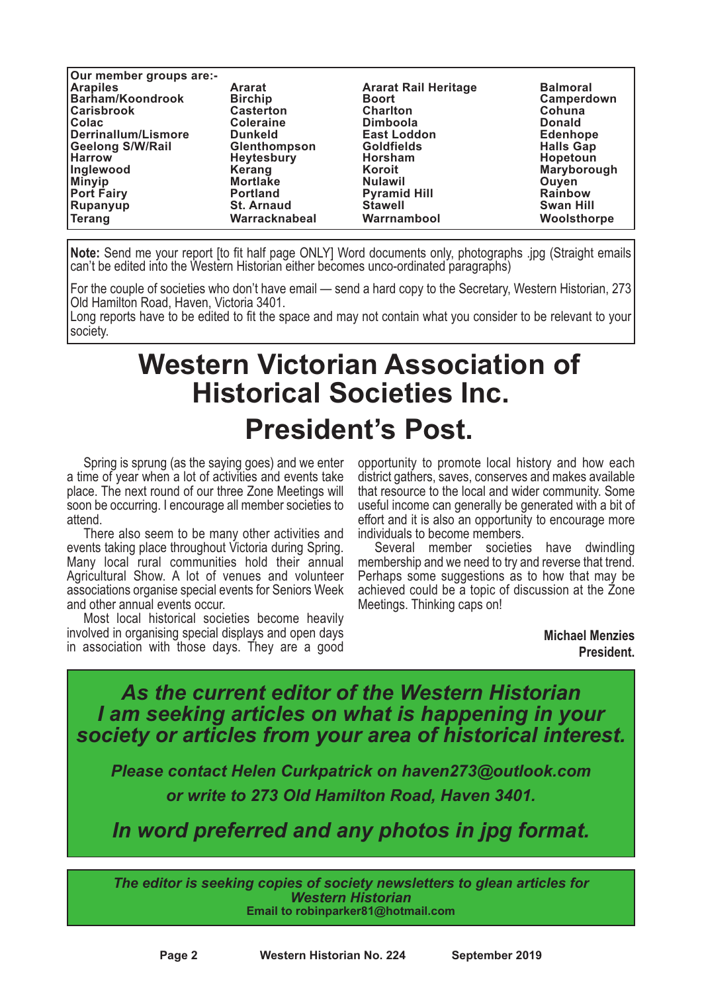| Our member groups are:- |                   |                             |                  |
|-------------------------|-------------------|-----------------------------|------------------|
| <b>Arapiles</b>         | <b>Ararat</b>     | <b>Ararat Rail Heritage</b> | <b>Balmoral</b>  |
| Barham/Koondrook        | <b>Birchip</b>    | <b>Boort</b>                | Camperdown       |
| <b>Carisbrook</b>       | <b>Casterton</b>  | <b>Charlton</b>             | Cohuna           |
| <b>Colac</b>            | <b>Coleraine</b>  | <b>Dimboola</b>             | <b>Donald</b>    |
| Derrinallum/Lismore     | <b>Dunkeld</b>    | <b>East Loddon</b>          | <b>Edenhope</b>  |
| <b>Geelong S/W/Rail</b> | Glenthompson      | <b>Goldfields</b>           | <b>Halls Gap</b> |
| <b>Harrow</b>           | <b>Heytesbury</b> | <b>Horsham</b>              | <b>Hopetoun</b>  |
| <b>Inglewood</b>        | Kerang            | Koroit                      | Maryborough      |
| <b>Minyip</b>           | <b>Mortlake</b>   | <b>Nulawil</b>              | Ouven            |
| <b>Port Fairy</b>       | <b>Portland</b>   | <b>Pyramid Hill</b>         | <b>Rainbow</b>   |
| Rupanyup                | <b>St. Arnaud</b> | <b>Stawell</b>              | <b>Swan Hill</b> |
| <b>Terang</b>           | Warracknabeal     | Warrnambool                 | Woolsthorpe      |

**Note:** Send me your report [to fit half page ONLY] Word documents only, photographs .jpg (Straight emails can't be edited into the Western Historian either becomes unco-ordinated paragraphs)

For the couple of societies who don't have email — send a hard copy to the Secretary, Western Historian, 273 Old Hamilton Road, Haven, Victoria 3401.

Long reports have to be edited to fit the space and may not contain what you consider to be relevant to your society.

### **Western Victorian Association of Historical Societies Inc. President's Post.**

Spring is sprung (as the saying goes) and we enter a time of year when a lot of activities and events take place. The next round of our three Zone Meetings will soon be occurring. I encourage all member societies to

attend.<br>There also seem to be many other activities and<br>events taking place throughout Victoria during Spring. Many local rural communities hold their annual Agricultural Show. A lot of venues and volunteer associations organise special events for Seniors Week

Most local historical societies become heavily involved in organising special displays and open days in association with those days. They are a good opportunity to promote local history and how each district gathers, saves, conserves and makes available that resource to the local and wider community. Some useful income can generally be generated with a bit of effort and it is also an opportunity to encourage more individuals to become members.

Several member societies have dwindling membership and we need to try and reverse that trend. Perhaps some suggestions as to how that may be achieved could be a topic of discussion at the Zone Meetings. Thinking caps on!

> **Michael Menzies President.**

*As the current editor of the Western Historian I am seeking articles on what is happening in your society or articles from your area of historical interest.*

*Please contact Helen Curkpatrick on haven273@outlook.com or write to 273 Old Hamilton Road, Haven 3401.*

*In word preferred and any photos in jpg format.*

*The editor is seeking copies of society newsletters to glean articles for Western Historian* **Email to robinparker81@hotmail.com**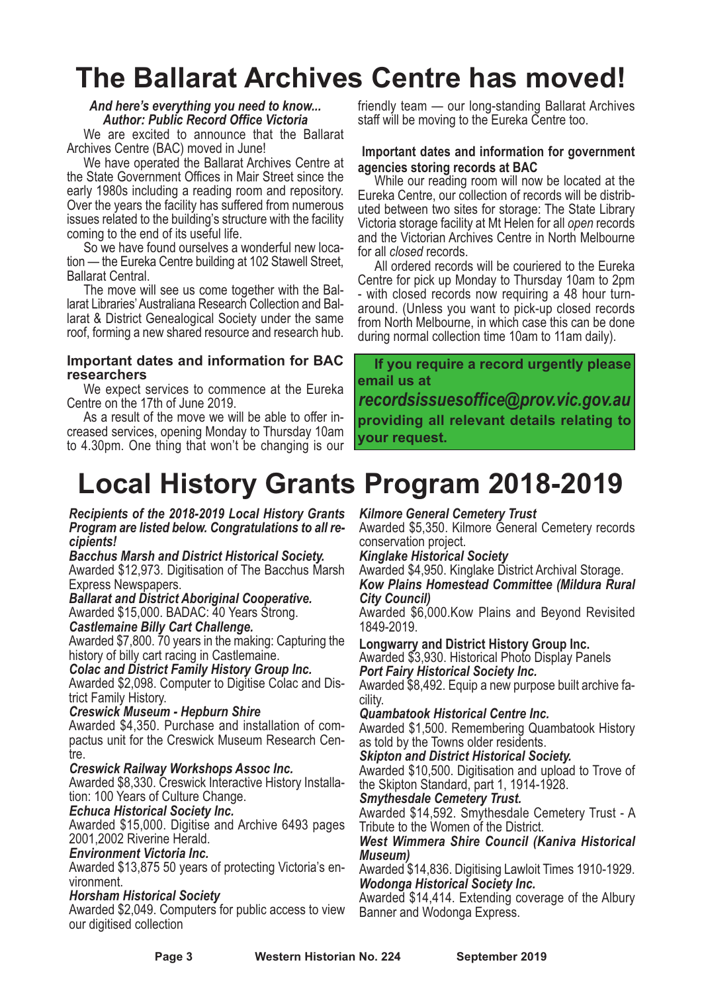### **The Ballarat Archives Centre has moved!**

*And here's everything you need to know... Author: Public Record Office Victoria*

We are excited to announce that the Ballarat Archives Centre (BAC) moved in June!

We have operated the Ballarat Archives Centre at the State Government Offices in Mair Street since the early 1980s including <sup>a</sup> reading room and repository. Over the years the facility has suffered from numerous issues related to the building's structure with the facility

coming to the end of its useful life.<br>So we have found ourselves a wonderful new loca-<br>tion — the Eureka Centre building at 102 Stawell Street,<br>Ballarat Central.<br>The move will see us come together with the Bal-<br>larat Libra

roof, forming a new shared resource and research hub.

### **Important dates and information for BAC researchers**

We expect services to commence at the Eureka

Centre on the 17th of June 2019. As <sup>a</sup> result of the move we will be able to offer in- creased services, opening Monday to Thursday 10am to 4.30pm. One thing that won't be changing is our friendly team — our long-standing Ballarat Archives staff will be moving to the Eureka Centre too.

#### **Important dates and information for government agencies storing records at BAC**

While our reading room will now be located at the Eureka Centre, our collection of records will be distrib- uted between two sites for storage: The State Library Victoria storage facility at Mt Helen for all *open* records and the Victorian Archives Centre in North Melbourne for all *closed* records.

for all *closed* records. All ordered records will be couriered to the Eureka Centre for pick up Monday to Thursday 10am to 2pm - with closed records now requiring a 48 hour turnaround. (Unless you want to pick-up closed records from North Melbourne, in which case this can be done during normal collection time 10am to 11am daily).

**If you require a record urgently please email us at** *recordsissuesoffice@prov.vic.gov.au* **providing all relevant details relating to your request.**

### **Local History Grants Program 2018-2019**

#### *Recipients of the 2018-2019 Local History Grants Program are listed below. Congratulations to all recipients!*

*Bacchus Marsh and District Historical Society.* Awarded \$12,973. Digitisation of The Bacchus Marsh

**Ballarat and District Aboriginal Cooperative.** 

Awarded \$15,000. BADAC: <sup>40</sup> Years Strong. *Castlemaine Billy Cart Challenge.*

Awarded \$7,800. 70 years in the making: Capturing the

 $C$ olac and District Family History Group Inc.

Awarded \$2,098. Computer to Digitise Colac and Dis- trict Family History. *Creswick Museum - Hepburn Shire*

Awarded \$4,350. Purchase and installation of compactus unit for the Creswick Museum Research Centre.

### *Creswick Railway Workshops Assoc Inc.*

Awarded \$8,330. Creswick Interactive History Installation: 100 Years of Culture Change.

### *Echuca Historical Society Inc.*

Awarded \$15,000. Digitise and Archive 6493 pages 2001,2002 Riverine Herald.

### *Environment Victoria Inc.*

Awarded \$13,875 50 years of protecting Victoria's environment.

### *Horsham Historical Society*

Awarded \$2,049. Computers for public access to view our digitised collection

### *Kilmore General Cemetery Trust*

Awarded \$5,350. Kilmore General Cemetery records

### conservation project. *Kinglake Historical Society*

Awarded \$4,950. Kinglake District Archival Storage. *Kow Plains Homestead Committee (Mildura Rural City Council)*

Awarded \$6,000.Kow Plains and Beyond Revisited 1849-2019.

**Longwarry and District History Group Inc.** Awarded \$3,930. Historical Photo Display Panels *Port Fairy Historical Society Inc.*

Awarded \$8,492. Equip <sup>a</sup> new purpose built archive fa- cility. *Quambatook Historical Centre Inc.*

Awarded \$1,500. Remembering Quambatook History as told by the Towns older residents.

*Skipton and District Historical Society.*

Awarded \$10,500. Digitisation and upload to Trove of the Skipton Standard, part 1, 1914-1928.

### *Smythesdale Cemetery Trust.*

Awarded \$14,592. Smythesdale Cemetery Trust - A Tribute to the Women of the District.

#### *West Wimmera Shire Council (Kaniva Historical Museum)*

Awarded \$14,836. Digitising Lawloit Times 1910-1929. *Wodonga Historical Society Inc.*

Awarded \$14,414. Extending coverage of the Albury Banner and Wodonga Express.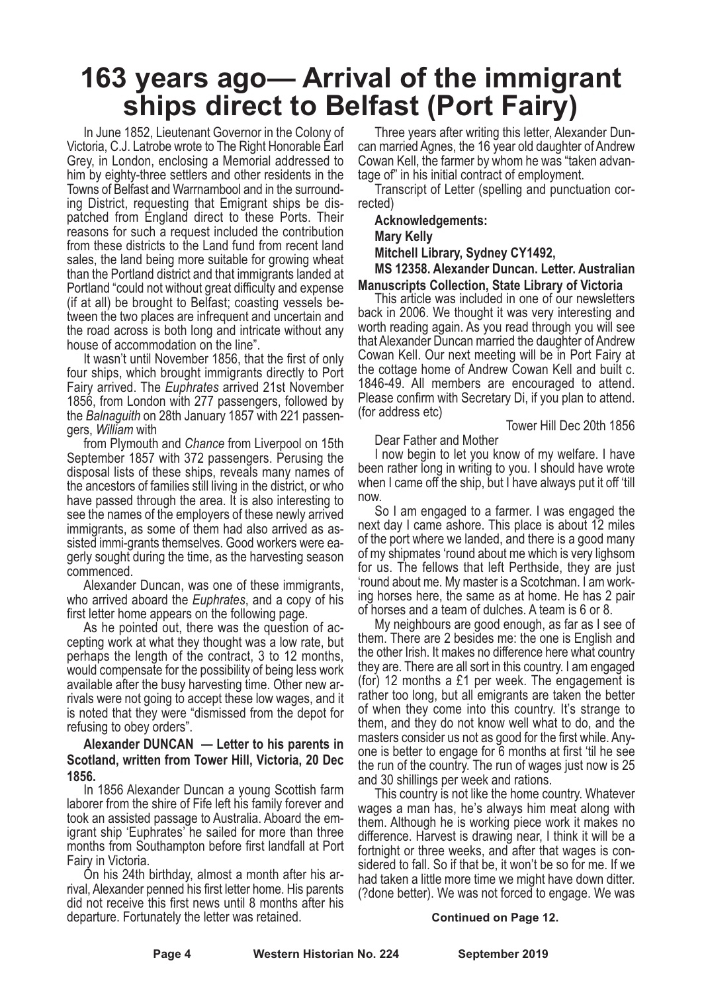### **163 years ago— Arrival of the immigrant ships direct to Belfast (Port Fairy)**

In June 1852, Lieutenant Governor in the Colony of Victoria, C.J. Latrobe wrote to The Right Honorable Earl Grey, in London, enclosing a Memorial addressed to him by eighty-three settlers and other residents in the Towns of Belfast and Warrnambool and in the surrounding District, requesting that Emigrant ships be dispatched from England direct to these Ports. Their reasons for such a request included the contribution from these districts to the Land fund from recent land sales, the land being more suitable for growing wheat than the Portland district and that immigrants landed at Portland "could not without great difficulty and expense (if at all) be brought to Belfast; coasting vessels between the two places are infrequent and uncertain and the road across is both long and intricate without any house of accommodation on the line".

It wasn't until November 1856, that the first of only four ships, which brought immigrants directly to Port Fairy arrived. The *Euphrates* arrived 21st November 1856, from London with 277 passengers, followed by the *Balnaguith* on 28th January 1857 with 221 passengers, *William* with

from Plymouth and *Chance* from Liverpool on 15th September 1857 with 372 passengers. Perusing the disposal lists of these ships, reveals many names of the ancestors of families still living in the district, or who have passed through the area. It is also interesting to see the names of the employers of these newly arrived immigrants, as some of them had also arrived as assisted immi-grants themselves. Good workers were eagerly sought during the time, as the harvesting season commenced.

Alexander Duncan, was one of these immigrants, who arrived aboard the *Euphrates*, and a copy of his first letter home appears on the following page.

As he pointed out, there was the question of accepting work at what they thought was a low rate, but perhaps the length of the contract, 3 to 12 months, would compensate for the possibility of being less work available after the busy harvesting time. Other new arrivals were not going to accept these low wages, and it is noted that they were "dismissed from the depot for refusing to obey orders".

**Alexander DUNCAN — Letter to his parents in Scotland, written from Tower Hill, Victoria, 20 Dec 1856.**

In 1856 Alexander Duncan a young Scottish farm laborer from the shire of Fife left his family forever and took an assisted passage to Australia. Aboard the emigrant ship 'Euphrates' he sailed for more than three months from Southampton before first landfall at Port Fairy in Victoria.

On his 24th birthday, almost a month after his arrival, Alexander penned his first letter home. His parents did not receive this first news until 8 months after his departure. Fortunately the letter was retained.

Three years after writing this letter, Alexander Duncan married Agnes, the 16 year old daughter of Andrew Cowan Kell, the farmer by whom he was "taken advantage of" in his initial contract of employment.

Transcript of Letter (spelling and punctuation corrected)

**Acknowledgements:**

**Mary Kelly**

**Mitchell Library, Sydney CY1492,**

**MS 12358. Alexander Duncan. Letter. Australian Manuscripts Collection, State Library of Victoria**

This article was included in one of our newsletters back in 2006. We thought it was very interesting and worth reading again. As you read through you will see that Alexander Duncan married the daughter of Andrew Cowan Kell. Our next meeting will be in Port Fairy at the cottage home of Andrew Cowan Kell and built c. 1846-49. All members are encouraged to attend. Please confirm with Secretary Di, if you plan to attend. (for address etc)

Tower Hill Dec 20th 1856

Dear Father and Mother

I now begin to let you know of my welfare. I have been rather long in writing to you. I should have wrote when I came off the ship, but I have always put it off 'till now.

So I am engaged to a farmer. I was engaged the next day I came ashore. This place is about 12 miles of the port where we landed, and there is a good many of my shipmates 'round about me which is very lighsom for us. The fellows that left Perthside, they are just 'round about me. My master is <sup>a</sup> Scotchman. <sup>I</sup> am work- ing horses here, the same as at home. He has <sup>2</sup> pair of horses and a team of dulches. A team is 6 or 8.

My neighbours are good enough, as far as I see of them. There are 2 besides me: the one is English and the other Irish. It makes no difference here what country they are. There are all sort in this country. I am engaged (for) 12 months a £1 per week. The engagement is rather too long, but all emigrants are taken the better of when they come into this country. It's strange to them, and they do not know well what to do, and the masters consider us not as good for the first while. Anyone is better to engage for 6 months at first 'til he see the run of the country. The run of wages just now is 25

and <sup>30</sup> shillings per week and rations. This country is not like the home country. Whatever wages a man has, he's always him meat along with them. Although he is working piece work it makes no difference. Harvest is drawing near, I think it will be a sidered to fall. So if that be, it won't be so for me. If we had taken a little more time we might have down ditter. (?done better). We was not forced to engage. We was

#### **Continued on Page 12.**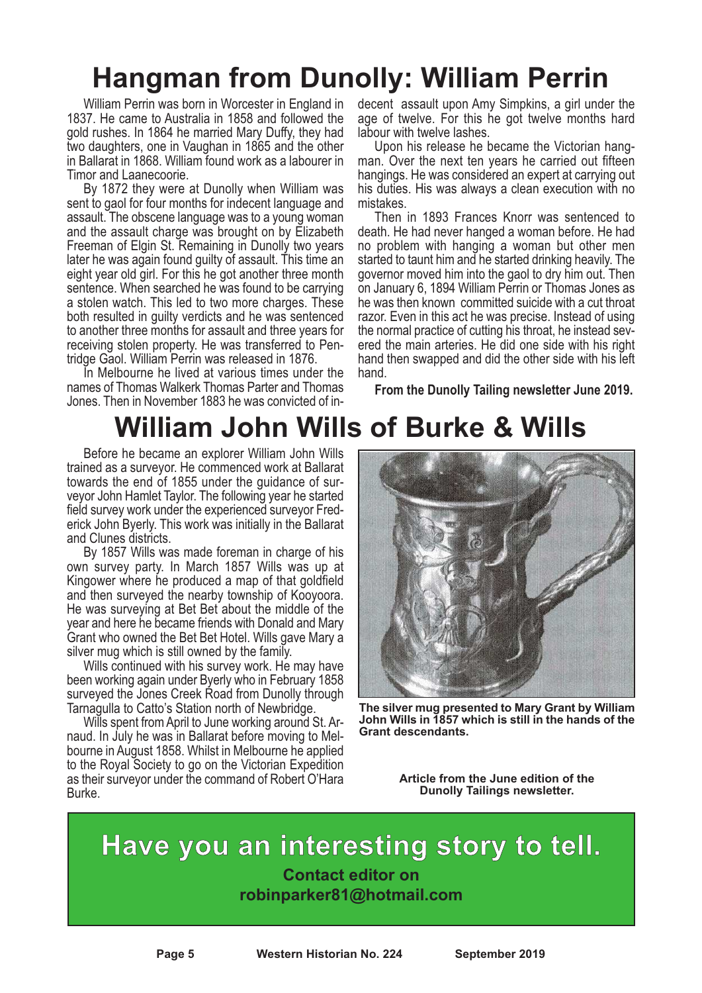### **Hangman from Dunolly: William Perrin**

William Perrin was born in Worcester in England in 1837. He came to Australia in 1858 and followed the gold rushes. In 1864 he married Mary Duffy, they had two daughters, one in Vaughan in 1865 and the other in Ballarat in 1868. William found work as a labourer in

Timor and Laanecoorie. By <sup>1872</sup> they were at Dunolly when William was sent to gaol for four months for indecent language and assault. The obscene language was to a young woman and the assault charge was brought on by Elizabeth Freeman of Elgin St. Remaining in Dunolly two years later he was again found guilty of assault. This time an eight year old girl. For this he got another three month sentence. When searched he was found to be carrying a stolen watch. This led to two more charges. These both resulted in guilty verdicts and he was sentenced to another three months for assault and three years for receiving stolen property. He was transferred to Pen-<br>tridge Gaol. William Perrin was released in 1876.<br>In Melbourne he lived at various times under the

names of Thomas Walkerk Thomas Parter and Thomas Jones. Then in November 1883 he was convicted of indecent assault upon Amy Simpkins, a girl under the age of twelve. For this he got twelve months hard

labour with twelve lashes. Upon his release he became the Victorian hang- man. Over the next ten years he carried out fifteen hangings. He was considered an expert at carrying out his duties. His was always a clean execution with no mistakes. Then in <sup>1893</sup> Frances Knorr was sentenced to

death. He had never hanged a woman before. He had no problem with hanging a woman but other men started to taunt him and he started drinking heavily. The governor moved him into the gaol to dry him out. Then on January 6, 1894 William Perrin or Thomas Jones as he was then known committed suicide with a cut throat razor. Even in this act he was precise. Instead of using the normal practice of cutting his throat, he instead severed the main arteries. He did one side with his right hand then swapped and did the other side with his left hand.

**From the Dunolly Tailing newsletter June 2019.**

### **William John Wills of Burke & Wills**

Before he became an explorer William John Wills trained as a surveyor. He commenced work at Ballarat veyor John Hamlet Taylor. The following year he started<br>field survey work under the experienced surveyor Frederick John Byerly. This work was initially in the Ballarat and Clunes districts.

By 1857 Wills was made foreman in charge of his own survey party. In March 1857 Wills was up at Kingower where he produced a map of that goldfield and then surveyed the nearby township of Kooyoora. He was surveying at Bet Bet about the middle of the year and here he became friends with Donald and Mary Grant who owned the Bet Bet Hotel. Wills gave Mary a silver mug which is still owned by the family. Wills continued with his survey work. He may have

been working again under Byerly who in February 1858 surveyed the Jones Creek Road from Dunolly through Tarnagulla to Catto's Station north of Newbridge.

Wills spent fromApril to June working around St. Arnaud. In July he was in Ballarat before moving to Melbourne in August 1858. Whilst in Melbourne he applied to the Royal Society to go on the Victorian Expedition as their surveyor under the command of Robert O'Hara Burke.



**The silver mug presented to Mary Grant by William John Wills in 1857 which is still in the hands of the Grant descendants.**

**Article from the June edition of the Dunolly Tailings newsletter.**

**Have you an interesting story to tell. Contact editor on robinparker81@hotmail.com**

**Page 5 Western Historian No. 224 September 2019**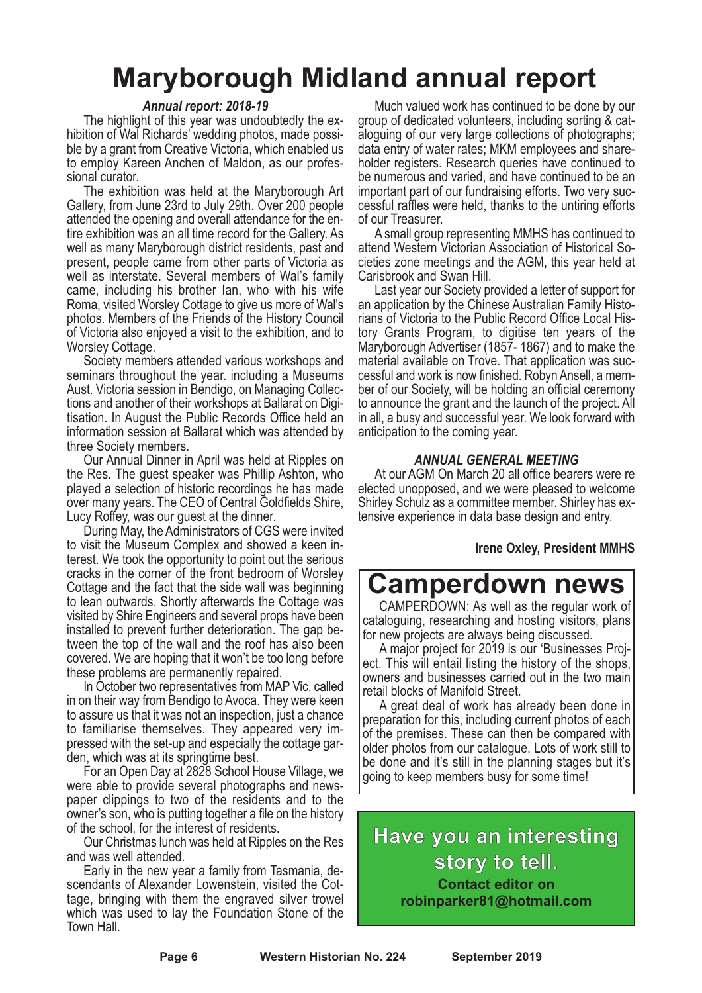### **Maryborough Midland annual report**

#### *Annual report: 2018-19*

The highlight of this year was undoubtedly the ex- hibition of Wal Richards' wedding photos, made possi- ble by <sup>a</sup> grant from Creative Victoria, which enabled us to employ Kareen Anchen of Maldon, as our profes- sional curator. The exhibition was held at the Maryborough Art

Gallery, from June 23rd to July 29th. Over 200 people attended the opening and overall attendance for the en- tire exhibition was an all time record for the Gallery. As well as many Maryborough district residents, past and present, people came from other parts of Victoria as well as interstate. Several members of Wal's family came, including his brother Ian, who with his wife Roma, visited Worsley Cottage to give us more of Wal's photos. Members of the Friends of the History Council of Victoria also enjoyed a visit to the exhibition, and to

Worsley Cottage. Society members attended various workshops and seminars throughout the year. including a Museums Aust. Victoria session in Bendigo, on Managing Collec- tions and another of their workshops at Ballarat on Digi- tisation. In August the Public Records Office held an information session at Ballarat which was attended by three Society members. Our Annual Dinner in April was held at Ripples on

the Res. The guest speaker was Phillip Ashton, who played a selection of historic recordings he has made over many years. The CEO of Central Goldfields Shire, Lucy Roffey, was our guest at the dinner. During May, the Administrators of CGS were invited

to visit the Museum Complex and showed <sup>a</sup> keen in- terest. We took the opportunity to point out the serious cracks in the corner of the front bedroom of Worsley Cottage and the fact that the side wall was beginning to lean outwards. Shortly afterwards the Cottage was visited by Shire Engineers and several props have been installed to prevent further deterioration. The gap between the top of the wall and the roof has also been covered. We are hoping that it won't be too long before these problems are permanently repaired.

In October two representatives from MAP Vic. called in on their way from Bendigo to Avoca. They were keen to assure us that it was not an inspection, just a chance to familiarise themselves. They appeared very impressed with the set-up and especially the cottage garden, which was at its springtime best.

For an Open Day at 2828 School House Village, we were able to provide several photographs and news- paper clippings to two of the residents and to the owner's son, who is putting together a file on the history

of the school, for the interest of residents. Our Christmas lunch was held at Ripples on the Res

and was well attended. Early in the new year <sup>a</sup> family from Tasmania, de- scendants of Alexander Lowenstein, visited the Cottage, bringing with them the engraved silver trowel which was used to lay the Foundation Stone of the Town Hall.

Much valued work has continued to be done by our group of dedicated volunteers, including sorting & cat- aloguing of our very large collections of photographs; holder registers. Research queries have continued to be numerous and varied, and have continued to be an important part of our fundraising efforts. Two very suc- cessful raffles were held, thanks to the untiring efforts

of our Treasurer. <sup>A</sup> small group representing MMHS has continued to attend Western Victorian Association of Historical So- cieties zone meetings and the AGM, this year held at

Last year our Society provided a letter of support for an application by the Chinese Australian Family Histo- rians of Victoria to the Public Record Office Local His- tory Grants Program, to digitise ten years of the Maryborough Advertiser (1857- 1867) and to make the material available on Trove. That application was suc- cessful and work is now finished. Robyn Ansell, <sup>a</sup> mem- ber of our Society, will be holding an official ceremony to announce the grant and the launch of the project. All in all, a busy and successful year. We look forward with anticipation to the coming year.

### *ANNUAL GENERAL MEETING*

At our AGM On March 20 all office bearers were re elected unopposed, and we were pleased to welcome Shirley Schulz as <sup>a</sup> committee member. Shirley has ex- tensive experience in data base design and entry.

### **Irene Oxley, President MMHS**

### **Camperdown news**

CAMPERDOWN: As well as the regular work of cataloguing, researching and hosting visitors, plans for new projects are always being discussed.

A major project for 2019 is our 'Businesses Project. This will entail listing the history of the shops, owners and businesses carried out in the two main retail blocks of Manifold Street.

A great deal of work has already been done in preparation for this, including current photos of each of the premises. These can then be compared with older photos from our catalogue. Lots of work still to be done and it's still in the planning stages but it's going to keep members busy for some time!

### **Have you an interesting story to tell. Contact editor on**

**robinparker81@hotmail.com**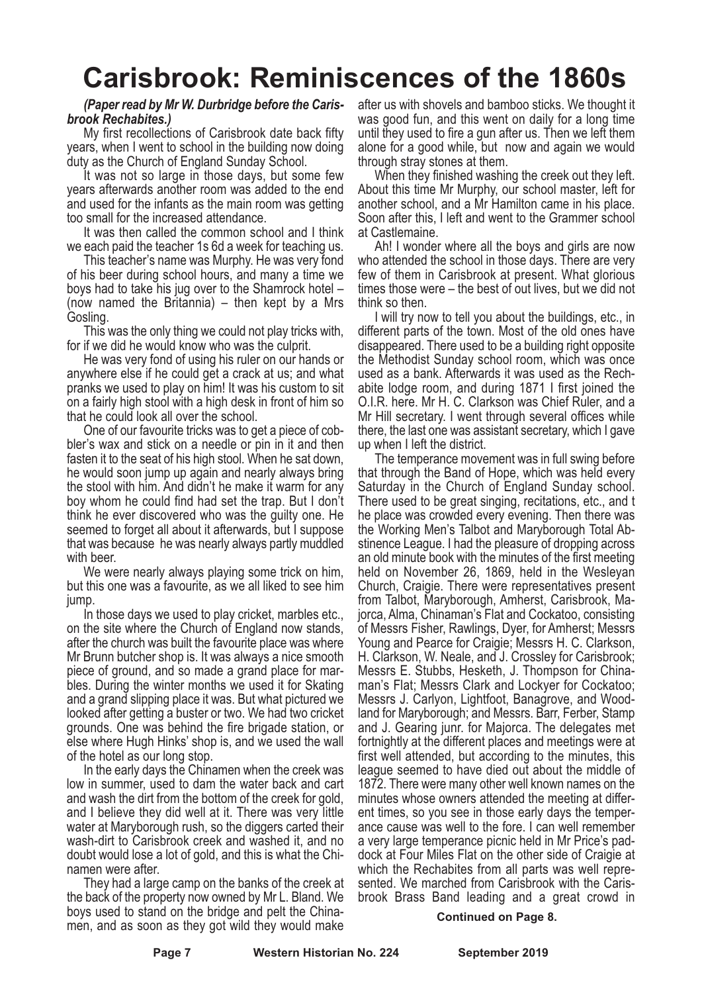### **Carisbrook: Reminiscences of the 1860s**

### *(Paper read by Mr W. Durbridge before the Caris- brook Rechabites.)*

My first recollections of Carisbrook date back fifty years, when I went to school in the building now doing

duty as the Church of England Sunday School. It was not so large in those days, but some few years afterwards another room was added to the end and used for the infants as the main room was getting too small for the increased attendance.

It was then called the common school and I think we each paid the teacher 1s 6d a week for teaching us.

This teacher's name was Murphy. He was very fond of his beer during school hours, and many a time we boys had to take his jug over to the Shamrock hotel – (now named the Britannia) – then kept by a Mrs Gosling.

This was the only thing we could not play tricks with, for if we did he would know who was the culprit.

He was very fond of using his ruler on our hands or anywhere else if he could get a crack at us; and what pranks we used to play on him! It was his custom to sit on a fairly high stool with a high desk in front of him so that he could look all over the school.

One of our favourite tricks was to get a piece of cobbler's wax and stick on a needle or pin in it and then fasten it to the seat of his high stool. When he sat down, he would soon jump up again and nearly always bring the stool with him. And didn't he make it warm for any boy whom he could find had set the trap. But I don't think he ever discovered who was the guilty one. He seemed to forget all about it afterwards, but I suppose that was because he was nearly always partly muddled with beer.

We were nearly always playing some trick on him, but this one was a favourite, as we all liked to see him jump.

In those days we used to play cricket, marbles etc., on the site where the Church of England now stands, after the church was built the favourite place was where Mr Brunn butcher shop is. It was always a nice smooth piece of ground, and so made a grand place for marbles. During the winter months we used it for Skating and a grand slipping place it was. But what pictured we looked after getting a buster or two. We had two cricket grounds. One was behind the fire brigade station, or else where Hugh Hinks' shop is, and we used the wall of the hotel as our long stop.

In the early days the Chinamen when the creek was low in summer, used to dam the water back and cart and wash the dirt from the bottom of the creek for gold, and I believe they did well at it. There was very little water at Maryborough rush, so the diggers carted their wash-dirt to Carisbrook creek and washed it, and no doubt would lose a lot of gold, and this is what the Chinamen were after.

They had a large camp on the banks of the creek at the back of the property now owned by Mr L. Bland. We boys used to stand on the bridge and pelt the Chinamen, and as soon as they got wild they would make

after us with shovels and bamboo sticks. We thought it was good fun, and this went on daily for a long time until they used to fire a gun after us. Then we left them alone for a good while, but now and again we would

through stray stones at them. When they finished washing the creek out they left. About this time Mr Murphy, our school master, left for another school, and a Mr Hamilton came in his place. Soon after this, I left and went to the Grammer school at Castlemaine.

Ah! I wonder where all the boys and girls are now who attended the school in those days. There are very few of them in Carisbrook at present. What glorious times those were – the best of out lives, but we did not think so then.

I will try now to tell you about the buildings, etc., in different parts of the town. Most of the old ones have disappeared. There used to be a building right opposite the Methodist Sunday school room, which was once used as a bank. Afterwards it was used as the Rechabite lodge room, and during 1871 I first joined the O.I.R. here. Mr H. C. Clarkson was Chief Ruler, and a Mr Hill secretary. I went through several offices while there, the last one was assistant secretary, which I gave up when I left the district.

The temperance movement was in full swing before that through the Band of Hope, which was held every Saturday in the Church of England Sunday school. There used to be great singing, recitations, etc., and t he place was crowded every evening. Then there was the Working Men's Talbot and Maryborough Total Abstinence League. I had the pleasure of dropping across an old minute book with the minutes of the first meeting held on November 26, 1869, held in the Wesleyan Church, Craigie. There were representatives present from Talbot, Maryborough, Amherst, Carisbrook, Majorca, Alma, Chinaman's Flat and Cockatoo, consisting of Messrs Fisher, Rawlings, Dyer, for Amherst; Messrs Young and Pearce for Craigie; Messrs H. C. Clarkson, H. Clarkson, W. Neale, and J. Crossley for Carisbrook; Messrs E. Stubbs, Hesketh, J. Thompson for Chinaman's Flat; Messrs Clark and Lockyer for Cockatoo; Messrs J. Carlyon, Lightfoot, Banagrove, and Woodland for Maryborough; and Messrs. Barr, Ferber, Stamp and J. Gearing junr. for Majorca. The delegates met fortnightly at the different places and meetings were at first well attended, but according to the minutes, this league seemed to have died out about the middle of 1872. There were many other well known names on the minutes whose owners attended the meeting at different times, so you see in those early days the temperance cause was well to the fore. I can well remember a very large temperance picnic held in Mr Price's paddock at Four Miles Flat on the other side of Craigie at which the Rechabites from all parts was well represented. We marched from Carisbrook with the Carisbrook Brass Band leading and a great crowd in

#### **Continued on Page 8.**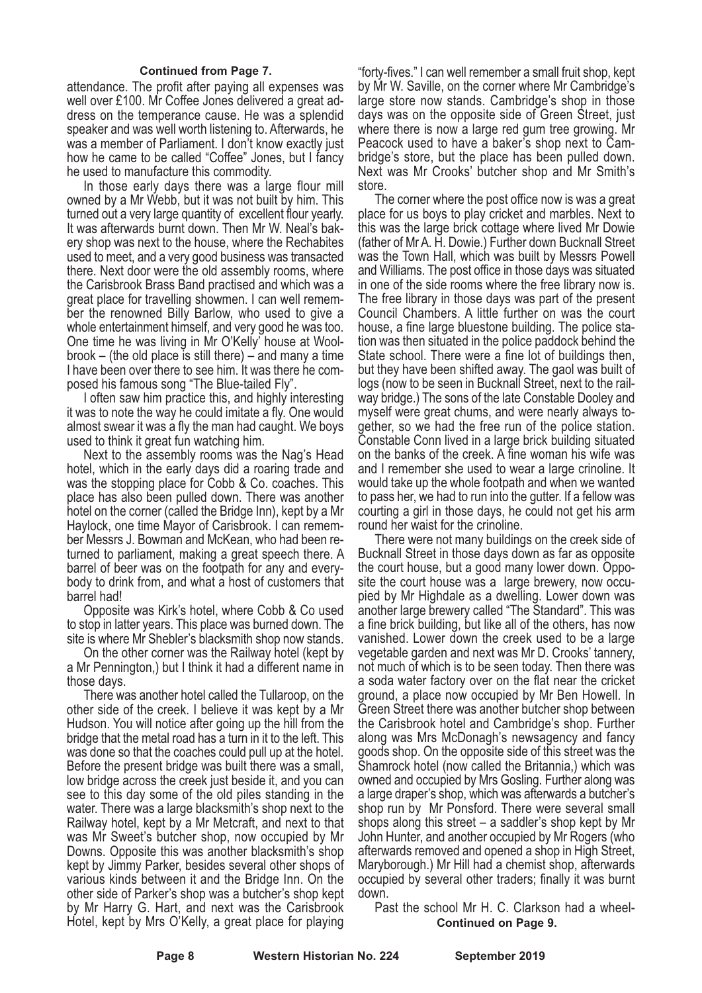#### **Continued from Page 7.**

attendance. The profit after paying all expenses was well over £100. Mr Coffee Jones delivered a great address on the temperance cause. He was a splendid speaker and was well worth listening to. Afterwards, he was a member of Parliament. I don't know exactly just how he came to be called "Coffee" Jones, but I fancy he used to manufacture this commodity.

In those early days there was a large flour mill owned by a Mr Webb, but it was not built by him. This turned out a very large quantity of excellent flour yearly. It was afterwards burnt down. Then Mr W. Neal's bakery shop was next to the house, where the Rechabites used to meet, and a very good business was transacted there. Next door were the old assembly rooms, where the Carisbrook Brass Band practised and which was a great place for travelling showmen. I can well remember the renowned Billy Barlow, who used to give a whole entertainment himself, and very good he was too. One time he was living in Mr O'Kelly' house at Woolbrook – (the old place is still there) – and many a time I have been over there to see him. It was there he composed his famous song "The Blue-tailed Fly".

I often saw him practice this, and highly interesting it was to note the way he could imitate a fly. One would almost swear it was a fly the man had caught. We boys used to think it great fun watching him.

Next to the assembly rooms was the Nag's Head hotel, which in the early days did a roaring trade and was the stopping place for Cobb & Co. coaches. This place has also been pulled down. There was another hotel on the corner (called the Bridge Inn), kept by a Mr Haylock, one time Mayor of Carisbrook. I can remember Messrs J. Bowman and McKean, who had been returned to parliament, making a great speech there. A barrel of beer was on the footpath for any and everybody to drink from, and what a host of customers that barrel had!

Opposite was Kirk's hotel, where Cobb & Co used to stop in latter years. This place was burned down. The site is where Mr Shebler's blacksmith shop now stands.

On the other corner was the Railway hotel (kept by a Mr Pennington,) but I think it had a different name in those days.

There was another hotel called the Tullaroop, on the other side of the creek. I believe it was kept by a Mr Hudson. You will notice after going up the hill from the bridge that the metal road has a turn in it to the left. This was done so that the coaches could pull up at the hotel. Before the present bridge was built there was a small, low bridge across the creek just beside it, and you can see to this day some of the old piles standing in the water. There was a large blacksmith's shop next to the Railway hotel, kept by a Mr Metcraft, and next to that was Mr Sweet's butcher shop, now occupied by Mr Downs. Opposite this was another blacksmith's shop kept by Jimmy Parker, besides several other shops of various kinds between it and the Bridge Inn. On the other side of Parker's shop was a butcher's shop kept by Mr Harry G. Hart, and next was the Carisbrook Hotel, kept by Mrs O'Kelly, a great place for playing

"forty-fives." I can well remember a small fruit shop, kept by Mr W. Saville, on the corner where Mr Cambridge's large store now stands. Cambridge's shop in those days was on the opposite side of Green Street, just where there is now a large red gum tree growing. Mr Peacock used to have a baker's shop next to Cam-<br>bridge's store, but the place has been pulled down.<br>Next was Mr Crooks' butcher shop and Mr Smith's store.

The corner where the post office now is was a great place for us boys to play cricket and marbles. Next to this was the large brick cottage where lived Mr Dowie (father of Mr A. H. Dowie.) Further down Bucknall Street was the Town Hall, which was built by Messrs Powell and Williams. The post office in those days was situated in one of the side rooms where the free library now is. The free library in those days was part of the present Council Chambers. A little further on was the court house, a fine large bluestone building. The police station was then situated in the police paddock behind the State school. There were a fine lot of buildings then, but they have been shifted away. The gaol was built of logs (now to be seen in Bucknall Street, next to the railway bridge.) The sons of the late Constable Dooley and myself were great chums, and were nearly always together, so we had the free run of the police station. Constable Conn lived in a large brick building situated on the banks of the creek. A fine woman his wife was and I remember she used to wear a large crinoline. It would take up the whole footpath and when we wanted to pass her, we had to run into the gutter. If a fellow was courting a girl in those days, he could not get his arm round her waist for the crinoline.

There were not many buildings on the creek side of Bucknall Street in those days down as far as opposite the court house, but a good many lower down. Opposite the court house was a large brewery, now occupied by Mr Highdale as a dwelling. Lower down was another large brewery called "The Standard". This was a fine brick building, but like all of the others, has now vanished. Lower down the creek used to be a large vegetable garden and next was Mr D. Crooks' tannery, not much of which is to be seen today. Then there was a soda water factory over on the flat near the cricket ground, a place now occupied by Mr Ben Howell. In Green Street there was another butcher shop between the Carisbrook hotel and Cambridge's shop. Further along was Mrs McDonagh's newsagency and fancy goods shop. On the opposite side of this street was the Shamrock hotel (now called the Britannia,) which was owned and occupied by Mrs Gosling. Further along was a large draper's shop, which was afterwards a butcher's shop run by Mr Ponsford. There were several small shops along this street – a saddler's shop kept by Mr John Hunter, and another occupied by Mr Rogers (who afterwards removed and opened a shop in High Street, Maryborough.) Mr Hill had a chemist shop, afterwards occupied by several other traders; finally it was burnt down.

Past the school Mr H. C. Clarkson had a wheel-**Continued on Page 9.**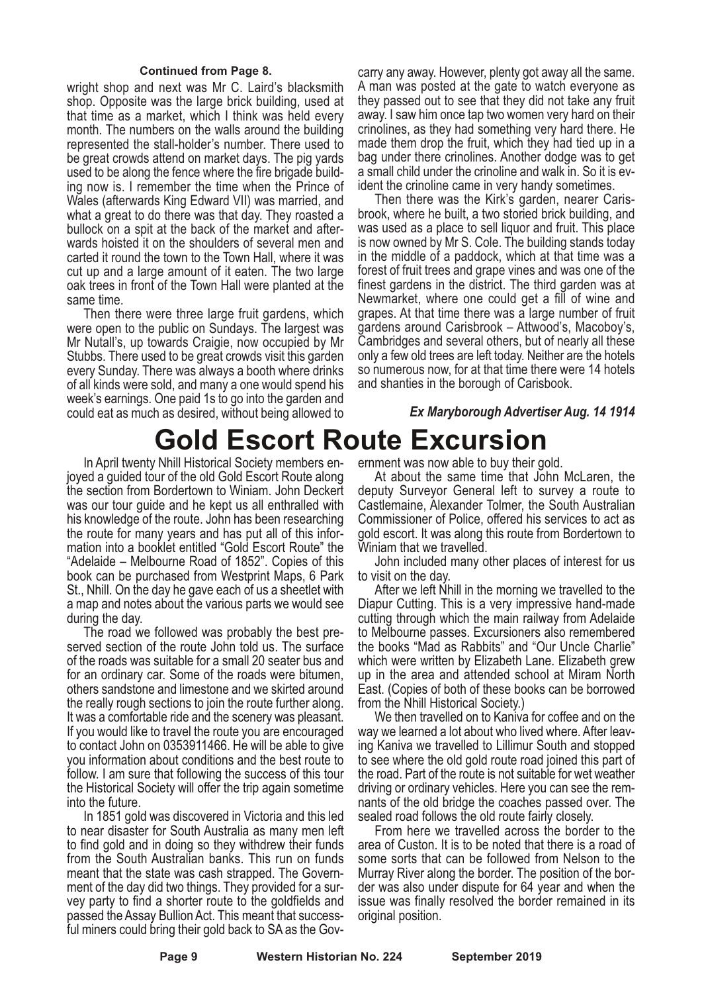#### **Continued from Page 8.**

wright shop and next was Mr C. Laird's blacksmith shop. Opposite was the large brick building, used at that time as a market, which I think was held every month. The numbers on the walls around the building represented the stall-holder's number. There used to be great crowds attend on market days. The pig yards used to be along the fence where the fire brigade building now is. I remember the time when the Prince of Wales (afterwards King Edward VII) was married, and what a great to do there was that day. They roasted a bullock on a spit at the back of the market and afterwards hoisted it on the shoulders of several men and carted it round the town to the Town Hall, where it was cut up and a large amount of it eaten. The two large oak trees in front of the Town Hall were planted at the same time.

Then there were three large fruit gardens, which were open to the public on Sundays. The largest was Mr Nutall's, up towards Craigie, now occupied by Mr Stubbs. There used to be great crowds visit this garden every Sunday. There was always a booth where drinks of all kinds were sold, and many a one would spend his week's earnings. One paid 1s to go into the garden and could eat as much as desired, without being allowed to

carry any away. However, plenty got away all the same. <sup>A</sup> man was posted at the gate to watch everyone as they passed out to see that they did not take any fruit away. I saw him once tap two women very hard on their crinolines, as they had something very hard there. He made them drop the fruit, which they had tied up in a bag under there crinolines. Another dodge was to get

<sup>a</sup> small child under the crinoline and walk in. So it is ev- ident the crinoline came in very handy sometimes. Then there was the Kirk's garden, nearer Caris- brook, where he built, <sup>a</sup> two storied brick building, and was used as a place to sell liquor and fruit. This place is now owned by Mr S. Cole. The building stands today in the middle of a paddock, which at that time was a forest of fruit trees and grape vines and was one of the finest gardens in the district. The third garden was at Newmarket, where one could get a fill of wine and grapes. At that time there was a large number of fruit gardens around Carisbrook – Attwood's, Macoboy's, Cambridges and several others, but of nearly all these only a few old trees are left today. Neither are the hotels so numerous now, for at that time there were 14 hotels and shanties in the borough of Carisbook.

#### *Ex Maryborough Advertiser Aug. 14 1914*

## **Gold Escort Route Excursion**<br>In April twenty Nhill Historical Society members en-ernment was now able to buy their gold.

joyed a guided tour of the old Gold Escort Route along the section from Bordertown to Winiam. John Deckert was our tour guide and he kept us all enthralled with his knowledge of the route. John has been researching the route for many years and has put all of this infor- mation into <sup>a</sup> booklet entitled "Gold Escort Route" the "Adelaide – Melbourne Road of 1852". Copies of this book can be purchased from Westprint Maps, 6 Park St., Nhill. On the day he gave each of us a sheetlet with a map and notes about the various parts we would see

The road we followed was probably the best pre-<br>served section of the route John told us. The surface of the roads was suitable for a small 20 seater bus and for an ordinary car. Some of the roads were bitumen, others sandstone and limestone and we skirted around the really rough sections to join the route further along. It was <sup>a</sup> comfortable ride and the scenery was pleasant. If you would like to travel the route you are encouraged to contact John on 0353911466. He will be able to give you information about conditions and the best route to follow. I am sure that following the success of this tour the Historical Society will offer the trip again sometime into the future.

In 1851 gold was discovered in Victoria and this led to near disaster for South Australia as many men left to find gold and in doing so they withdrew their funds from the South Australian banks. This run on funds meant that the state was cash strapped. The Government of the day did two things. They provided for <sup>a</sup> sur- vey party to find <sup>a</sup> shorter route to the goldfields and passed the Assay Bullion Act. This meant that success- ful miners could bring their gold back to SA as the Gov-

At about the same time that John McLaren, the deputy Surveyor General left to survey a route to Castlemaine, Alexander Tolmer, the South Australian Commissioner of Police, offered his services to act as gold escort. It was along this route from Bordertown to

Winiam that we travelled.<br>John included many other places of interest for us<br>to visit on the day.

After we left Nhill in the morning we travelled to the Diapur Cutting. This is a very impressive hand-made cutting through which the main railway from Adelaide to Melbourne passes. Excursioners also remembered the books "Mad as Rabbits" and "Our Uncle Charlie" which were written by Elizabeth Lane. Elizabeth grew up in the area and attended school at Miram North East. (Copies of both of these books can be borrowed from the Nhill Historical Society.)

We then travelled on to Kaniva for coffee and on the way we learned <sup>a</sup> lot about who lived where. After leav- ing Kaniva we travelled to Lillimur South and stopped to see where the old gold route road joined this part of the road. Part of the route is not suitable for wet weather driving or ordinary vehicles. Here you can see the remnants of the old bridge the coaches passed over. The sealed road follows the old route fairly closely.

From here we travelled across the border to the area of Custon. It is to be noted that there is a road of some sorts that can be followed from Nelson to the Murray River along the border. The position of the border was also under dispute for 64 year and when the issue was finally resolved the border remained in its original position.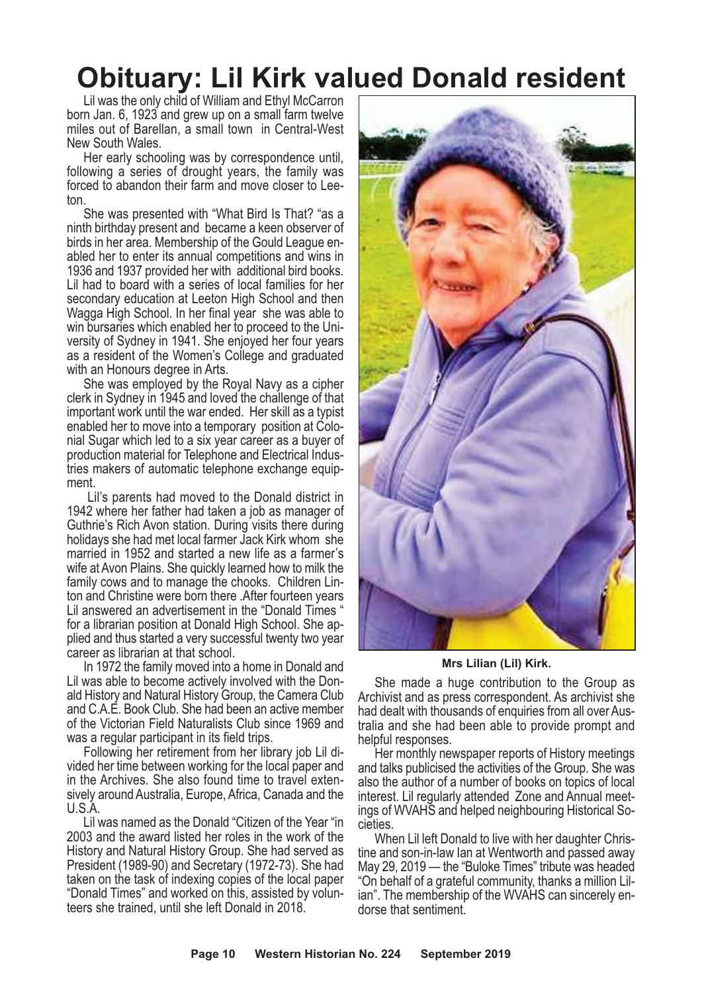### **Obituary: Lil Kirk valued Donald resident**

Lil was the only child of William and Ethyl McCarron born Jan. 6, 1923 and grew up on a small farm twelve miles out of Barellan, a small town in Central-West New South Wales.

Her early schooling was by correspondence until, following a series of drought years, the family was forced to abandon their farm and move closer to Lee- ton.

She was presented with "What Bird Is That? "as a ninth birthday present and became a keen observer of abled her to enter its annual competitions and wins in 1936 and 1937 provided her with additional bird books. Lil had to board with a series of local families for her secondary education at Leeton High School and then Wagga High School. In her final year she was able to versity of Sydney in 1941. She enjoyed her four years as a resident of the Women's College and graduated

with an Honours degree in Arts.<br>She was employed by the Royal Navy as a cipher clerk in Sydney in 1945 and loved the challenge of that important work until the war ended. Her skill as a typist enabled her to move into <sup>a</sup> temporary position at Colo- nial Sugar which led to <sup>a</sup> six year career as <sup>a</sup> buyer of production material for Telephone and Electrical Indus- tries makers of automatic telephone exchange equip- ment.

Lil's parents had moved to the Donald district in 1942 where her father had taken a job as manager of Guthrie's Rich Avon station. During visits there during holidays she had met local farmer Jack Kirk whom she married in 1952 and started a new life as a farmer's wife at Avon Plains. She quickly learned how to milk the family cows and to manage the chooks. Children Linton and Christine were born there .After fourteen years Lil answered an advertisement in the "Donald Times " for a librarian position at Donald High School. She applied and thus started a very successful twenty two year career as librarian at that school.

In 1972 the family moved into a home in Donald and Lil was able to become actively involved with the Donald History and Natural History Group, the Camera Club and C.A.E. Book Club. She had been an active member of the Victorian Field Naturalists Club since 1969 and was a regular participant in its field trips.

Following her retirement from her library job Lil divided her time between working for the local paper and sively around Australia, Europe, Africa, Canada and the U.S.A.

Lil was named as the Donald "Citizen of the Year "in 2003 and the award listed her roles in the work of the History and Natural History Group. She had served as President (1989-90) and Secretary (1972-73). She had taken on the task of indexing copies of the local paper "Donald Times" and worked on this, assisted by volunteers she trained, until she left Donald in 2018.



#### **Mrs Lilian (Lil) Kirk.**

She made a huge contribution to the Group as Archivist and as press correspondent. As archivist she had dealt with thousands of enquiries from all over Aus- tralia and she had been able to provide prompt and

helpful responses. Her monthly newspaper reports of History meetings and talks publicised the activities of the Group. She was also the author of a number of books on topics of local interest. Lil regularly attended Zone and Annual meetings of WVAHS and helped neighbouring Historical Societies.

When Lil left Donald to live with her daughter Christine and son-in-law Ian at Wentworth and passed away May 29, 2019 — the "Buloke Times" tribute was headed "On behalf of <sup>a</sup> grateful community, thanks <sup>a</sup> million Lil- ian". The membership of the WVAHS can sincerely en- dorse that sentiment.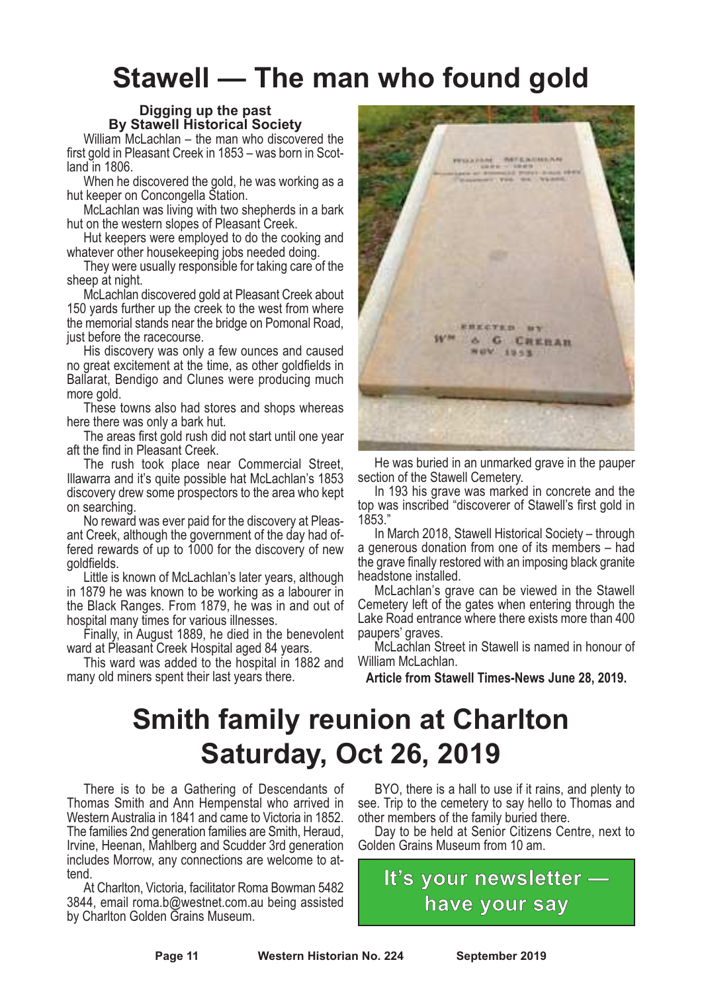### **Stawell — The man who found gold**

#### **Digging up the past By Stawell Historical Society**

William McLachlan – the man who discovered the first gold in Pleasant Creek in 1853 – was born in Scotland in 1806.

When he discovered the gold, he was working as a hut keeper on Concongella Station.

McLachlan was living with two shepherds in a bark hut on the western slopes of Pleasant Creek.

Hut keepers were employed to do the cooking and whatever other housekeeping jobs needed doing.

They were usually responsible for taking care of the sheep at night.

McLachlan discovered gold at Pleasant Creek about 150 yards further up the creek to the west from where the memorial stands near the bridge on Pomonal Road, just before the racecourse.

His discovery was only a few ounces and caused no great excitement at the time, as other goldfields in Ballarat, Bendigo and Clunes were producing much more gold.

These towns also had stores and shops whereas here there was only a bark hut.

The areas first gold rush did not start until one year aft the find in Pleasant Creek.

The rush took place near Commercial Street, Illawarra and it's quite possible hat McLachlan's 1853 discovery drew some prospectors to the area who kept on searching.

No reward was ever paid for the discovery at Pleasant Creek, although the government of the day had of- fered rewards of up to <sup>1000</sup> for the discovery of new goldfields.

Little is known of McLachlan's later years, although in 1879 he was known to be working as a labourer in the Black Ranges. From 1879, he was in and out of hospital many times for various illnesses.

Finally, in August 1889, he died in the benevolent ward at Pleasant Creek Hospital aged 84 years.

This ward was added to the hospital in 1882 and many old miners spent their last years there.



He was buried in an unmarked grave in the pauper section of the Stawell Cemetery.

In 193 his grave was marked in concrete and the top was inscribed "discoverer of Stawell's first gold in 1853."

In March 2018, Stawell Historical Society – through a generous donation from one of its members – had the grave finally restored with an imposing black granite

headstone installed. McLachlan's grave can be viewed in the Stawell Cemetery left of the gates when entering through the Lake Road entrance where there exists more than 400

paupers' graves. McLachlan Street in Stawell is named in honour of William McLachlan.

**Article from Stawell Times-News June 28, 2019.**

### **Smith family reunion at Charlton Saturday, Oct 26, 2019**

There is to be a Gathering of Descendants of Thomas Smith and Ann Hempenstal who arrived in The families 2nd generation families are Smith, Heraud, Irvine, Heenan, Mahlberg and Scudder 3rd generation includes Morrow, any connections are welcome to at- tend.

At Charlton, Victoria, facilitator Roma Bowman 5482 3844, email roma.b@westnet.com.au being assisted by Charlton Golden Grains Museum.

BYO, there is a hall to use if it rains, and plenty to see. Trip to the cemetery to say hello to Thomas and other members of the family buried there.

Day to be held at Senior Citizens Centre, next to Golden Grains Museum from 10 am.

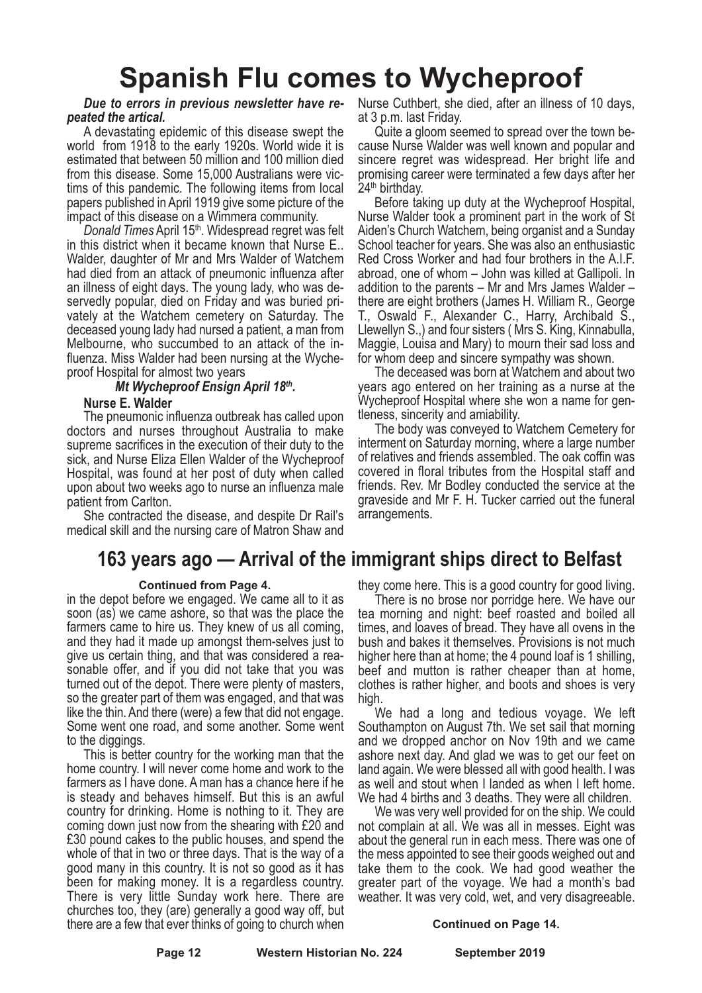### **Spanish Flu comes to Wycheproof**

#### *Due to errors in previous newsletter have repeated the artical.*

A devastating epidemic of this disease swept the world from 1918 to the early 1920s. World wide it is estimated that between 50 million and 100 million died from this disease. Some 15,000 Australians were victims of this pandemic. The following items from local papers published in April 1919 give some picture of the impact of this disease on a Wimmera community.

Donald Times April 15<sup>th</sup>. Widespread regret was felt in this district when it became known that Nurse E.. Walder, daughter of Mr and Mrs Walder of Watchem had died from an attack of pneumonic influenza after an illness of eight days. The young lady, who was deservedly popular, died on Friday and was buried privately at the Watchem cemetery on Saturday. The deceased young lady had nursed a patient, a man from Melbourne, who succumbed to an attack of the influenza. Miss Walder had been nursing at the Wycheproof Hospital for almost two years

### *Mt Wycheproof Ensign April 18th .*

### **Nurse E. Walder**

The pneumonic influenza outbreak has called upon doctors and nurses throughout Australia to make supreme sacrifices in the execution of their duty to the sick, and Nurse Eliza Ellen Walder of the Wycheproof Hospital, was found at her post of duty when called upon about two weeks ago to nurse an influenza male patient from Carlton.

She contracted the disease, and despite Dr Rail's medical skill and the nursing care of Matron Shaw and

### **163 years ago — Arrival of the immigrant ships direct to Belfast**

#### **Continued from Page 4.**

in the depot before we engaged. We came all to it as soon (as) we came ashore, so that was the place the farmers came to hire us. They knew of us all coming, and they had it made up amongst them-selves just to give us certain thing, and that was considered a reasonable offer, and if you did not take that you was turned out of the depot. There were plenty of masters, so the greater part of them was engaged, and that was like the thin. And there (were) a few that did not engage. Some went one road, and some another. Some went to the diggings.

This is better country for the working man that the home country. I will never come home and work to the farmers as I have done. Aman has a chance here if he is steady and behaves himself. But this is an awful country for drinking. Home is nothing to it. They are coming down just now from the shearing with £20 and £30 pound cakes to the public houses, and spend the whole of that in two or three days. That is the way of a good many in this country. It is not so good as it has been for making money. It is a regardless country. There is very little Sunday work here. There are churches too, they (are) generally a good way off, but there are a few that ever thinks of going to church when

Nurse Cuthbert, she died, after an illness of 10 days, at 3 p.m. last Friday.

Quite a gloom seemed to spread over the town because Nurse Walder was well known and popular and sincere regret was widespread. Her bright life and promising career were terminated a few days after her 24<sup>th</sup> birthday.

Before taking up duty at the Wycheproof Hospital, Nurse Walder took a prominent part in the work of St Aiden's Church Watchem, being organist and a Sunday School teacher for years. She was also an enthusiastic Red Cross Worker and had four brothers in the A.I.F. abroad, one of whom – John was killed at Gallipoli. In addition to the parents – Mr and Mrs James Walder – there are eight brothers (James H. William R., George T., Oswald F., Alexander C., Harry, Archibald S., Llewellyn S.,) and four sisters ( Mrs S. King, Kinnabulla, Maggie, Louisa and Mary) to mourn their sad loss and for whom deep and sincere sympathy was shown.

The deceased was born at Watchem and about two years ago entered on her training as a nurse at the Wycheproof Hospital where she won a name for gentleness, sincerity and amiability.

The body was conveyed to Watchem Cemetery for interment on Saturday morning, where a large number of relatives and friends assembled. The oak coffin was covered in floral tributes from the Hospital staff and friends. Rev. Mr Bodley conducted the service at the graveside and Mr F. H. Tucker carried out the funeral arrangements.

they come here. This is <sup>a</sup> good country for good living. There is no brose nor porridge here. We have our tea morning and night: beef roasted and boiled all times, and loaves of bread. They have all ovens in the bush and bakes it themselves. Provisions is not much higher here than at home; the <sup>4</sup> pound loaf is <sup>1</sup> shilling, beef and mutton is rather cheaper than at home, clothes is rather higher, and boots and shoes is very high.

We had a long and tedious voyage. We left Southampton on August 7th. We set sail that morning and we dropped anchor on Nov 19th and we came ashore next day. And glad we was to get our feet on land again. We were blessed all with good health. I was as well and stout when I landed as when I left home. We had 4 births and 3 deaths. They were all children.

We was very well provided for on the ship. We could not complain at all. We was all in messes. Eight was about the general run in each mess. There was one of the mess appointed to see their goods weighed out and take them to the cook. We had good weather the greater part of the voyage. We had a month's bad weather. It was very cold, wet, and very disagreeable.

#### **Continued on Page 14.**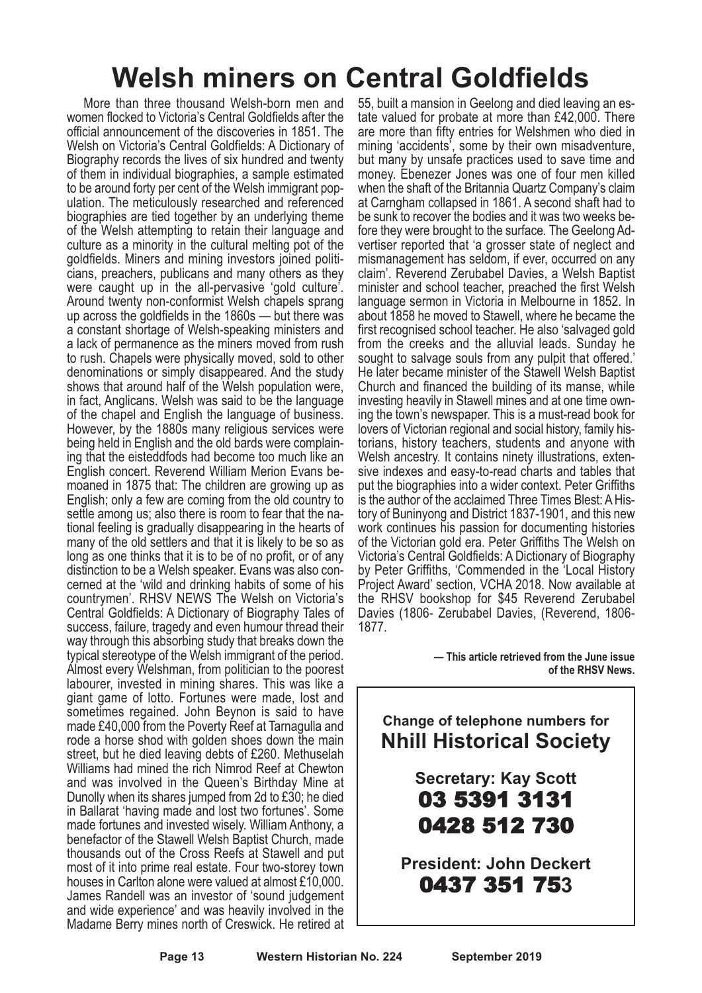### **Welsh miners on Central Goldfields**

More than three thousand Welsh-born men and women flocked to Victoria's Central Goldfields after the official announcement of the discoveries in 1851. The Welsh on Victoria's Central Goldfields: A Dictionary of Biography records the lives of six hundred and twenty of them in individual biographies, a sample estimated ulation. The meticulously researched and referenced biographies are tied together by an underlying theme of the Welsh attempting to retain their language and culture as a minority in the cultural melting pot of the goldfields. Miners and mining investors joined politicians, preachers, publicans and many others as they were caught up in the all-pervasive 'gold culture'. Around twenty non-conformist Welsh chapels sprang up across the goldfields in the 1860s — but there was a constant shortage of Welsh-speaking ministers and a lack of permanence as the miners moved from rush to rush. Chapels were physically moved, sold to other denominations or simply disappeared. And the study shows that around half of the Welsh population were, in fact, Anglicans. Welsh was said to be the language of the chapel and English the language of business. However, by the 1880s many religious services were ing that the eisteddfods had become too much like an English concert. Reverend William Merion Evans be- moaned in <sup>1875</sup> that: The children are growing up as English; only a few are coming from the old country to settle among us; also there is room to fear that the na- tional feeling is gradually disappearing in the hearts of many of the old settlers and that it is likely to be so as long as one thinks that it is to be of no profit, or of any distinction to be a Welsh speaker. Evans was also concerned at the 'wild and drinking habits of some of his countrymen'. RHSV NEWS The Welsh on Victoria's Central Goldfields: A Dictionary of Biography Tales of success, failure, tragedy and even humour thread their way through this absorbing study that breaks down the typical stereotype of the Welsh immigrant of the period. Almost every Welshman, from politician to the poorest labourer, invested in mining shares. This was like a giant game of lotto. Fortunes were made, lost and sometimes regained. John Beynon is said to have made £40,000 from the Poverty Reef at Tarnagulla and rode a horse shod with golden shoes down the main street, but he died leaving debts of £260. Methuselah Williams had mined the rich Nimrod Reef at Chewton and was involved in the Queen's Birthday Mine at Dunolly when its shares jumped from 2d to £30; he died in Ballarat 'having made and lost two fortunes'. Some made fortunes and invested wisely. William Anthony, a benefactor of the Stawell Welsh Baptist Church, made thousands out of the Cross Reefs at Stawell and put most of it into prime real estate. Four two-storey town houses in Carlton alone were valued at almost £10,000. James Randell was an investor of 'sound judgement and wide experience' and was heavily involved in the Madame Berry mines north of Creswick. He retired at

55, built <sup>a</sup> mansion in Geelong and died leaving an es- tate valued for probate at more than £42,000. There are more than fifty entries for Welshmen who died in mining 'accidents', some by their own misadventure, but many by unsafe practices used to save time and money. Ebenezer Jones was one of four men killed when the shaft of the Britannia Quartz Company's claim at Carngham collapsed in 1861. A second shaft had to fore they were brought to the surface. The Geelong Ad-<br>vertiser reported that 'a grosser state of neglect and mismanagement has seldom, if ever, occurred on any claim'. Reverend Zerubabel Davies, a Welsh Baptist minister and school teacher, preached the first Welsh language sermon in Victoria in Melbourne in 1852. In about 1858 he moved to Stawell, where he became the first recognised school teacher. He also 'salvaged gold from the creeks and the alluvial leads. Sunday he sought to salvage souls from any pulpit that offered. He later became minister of the Stawell Welsh Baptist Church and financed the building of its manse, while investing heavily in Stawell mines and at one time own- ing the town's newspaper. This is <sup>a</sup> must-read book for lovers of Victorian regional and social history, family his- torians, history teachers, students and anyone with Welsh ancestry. It contains ninety illustrations, exten-<br>sive indexes and easy-to-read charts and tables that put the biographies into a wider context. Peter Griffiths is the author of the acclaimed Three Times Blest: AHis- tory of Buninyong and District 1837-1901, and this new work continues his passion for documenting histories of the Victorian gold era. Peter Griffiths The Welsh on Victoria's Central Goldfields: A Dictionary of Biography by Peter Griffiths, 'Commended in the 'Local History Project Award' section, VCHA 2018. Now available at the RHSV bookshop for \$45 Reverend Zerubabel Davies (1806- Zerubabel Davies, (Reverend, 1806- 1877.

> **— This article retrieved from the June issue of the RHSV News.**

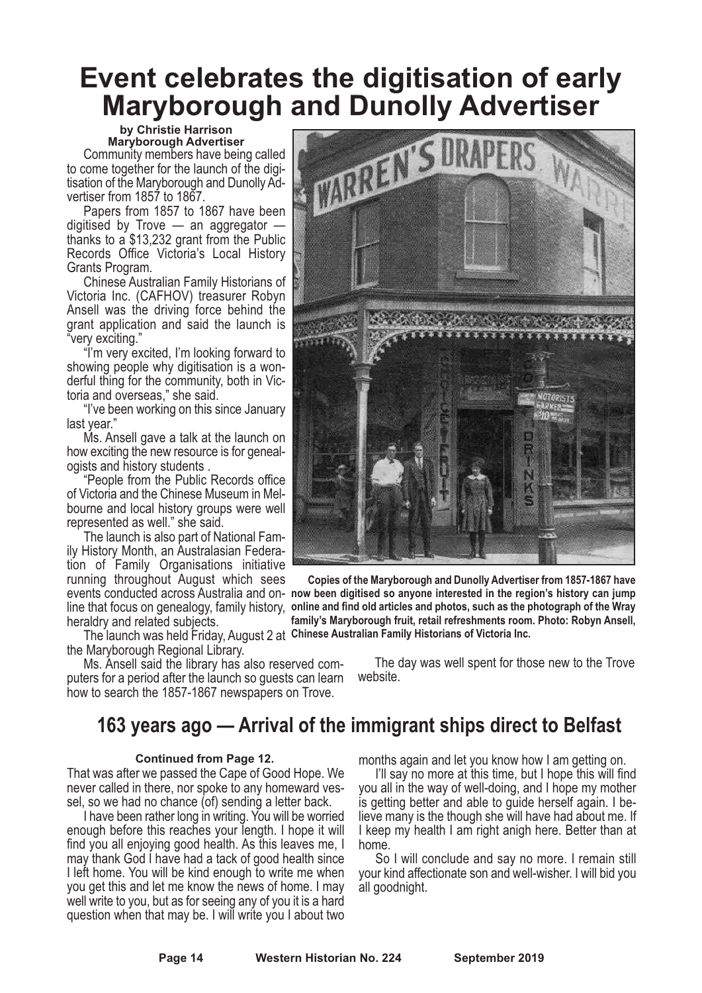### **Event celebrates the digitisation of early Maryborough and Dunolly Advertiser**

#### **by Christie Harrison Maryborough Advertiser**

Community members have being called to come together for the launch of the digitisation of the Maryborough and Dunolly Advertiser from 1857 to 1867.

Papers from 1857 to 1867 have been digitised by Trove  $-$  an aggregator  $$ thanks to a \$13,232 grant from the Public Records Office Victoria's Local History Grants Program.

Chinese Australian Family Historians of Victoria Inc. (CAFHOV) treasurer Robyn Ansell was the driving force behind the grant application and said the launch is "very exciting."

"I'm very excited, I'm looking forward to showing people why digitisation is a wonderful thing for the community, both in Victoria and overseas," she said.

"I've been working on this since January last year."

Ms. Ansell gave a talk at the launch on how exciting the new resource is for genealogists and history students .

"People from the Public Records office of Victoria and the Chinese Museum in Melbourne and local history groups were well represented as well." she said.

The launch is also part of National Family History Month, an Australasian Federation of Family Organisations initiative running throughout August which sees heraldry and related subjects.

The launch was held Friday, August 2 at **Chinese Australian Family Historians of Victoria Inc.** the Maryborough Regional Library.

Ms. Ansell said the library has also reserved computers for a period after the launch so guests can learn how to search the 1857-1867 newspapers on Trove.



events conducted across Australia and on-**now been digitised so anyone interested in the region's history can jump** line that focus on genealogy, family history, **online and find old articles and photos, such as the photograph of the Wray Copies of the Maryborough and Dunolly Advertiser from 1857-1867 have family's Maryborough fruit, retail refreshments room. Photo: Robyn Ansell,**

> The day was well spent for those new to the Trove website.

### **163 years ago — Arrival of the immigrant ships direct to Belfast**

#### **Continued from Page 12.**

That was after we passed the Cape of Good Hope. We never called in there, nor spoke to any homeward vessel, so we had no chance (of) sending a letter back.

I have been rather long in writing. You will be worried enough before this reaches your length. I hope it will find you all enjoying good health. As this leaves me, I may thank God I have had a tack of good health since I left home. You will be kind enough to write me when you get this and let me know the news of home. I may well write to you, but as for seeing any of you it is a hard question when that may be. I will write you I about two

months again and let you know how I am getting on.

I'll say no more at this time, but I hope this will find you all in the way of well-doing, and I hope my mother is getting better and able to guide herself again. I believe many is the though she will have had about me. If I keep my health I am right anigh here. Better than at home.

So I will conclude and say no more. I remain still your kind affectionate son and well-wisher. I will bid you all goodnight.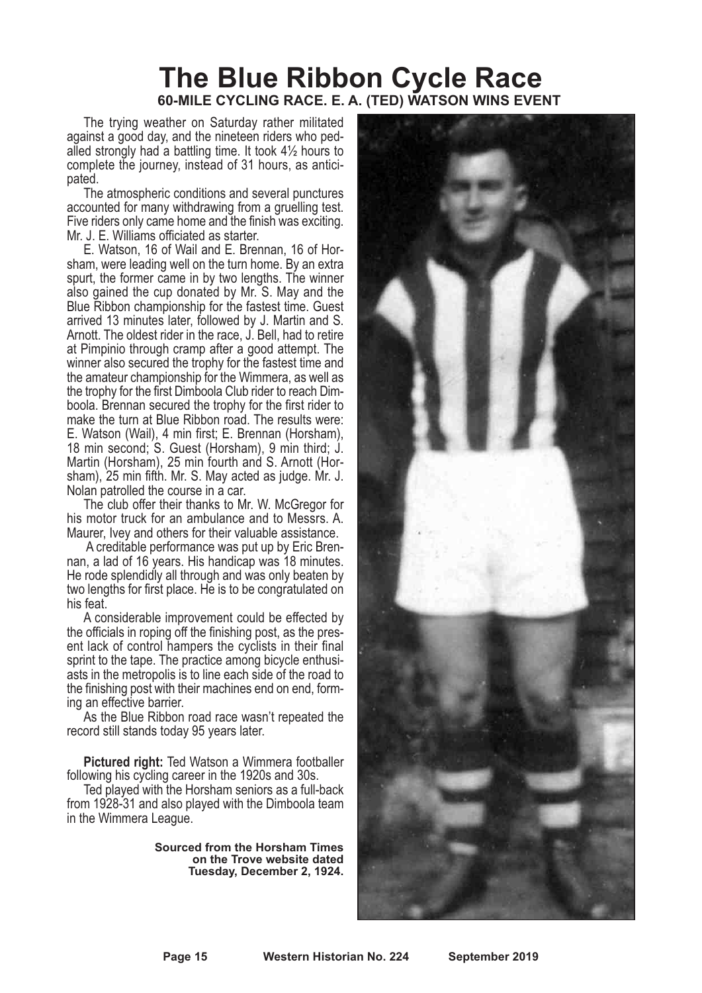### **The Blue Ribbon Cycle Race 60-MILE CYCLING RACE. E. A. (TED) WATSON WINS EVENT**

The trying weather on Saturday rather militated against a good day, and the nineteen riders who pedalled strongly had a battling time. It took 4½ hours to complete the journey, instead of 31 hours, as anticipated.

The atmospheric conditions and several punctures accounted for many withdrawing from a gruelling test. Five riders only came home and the finish was exciting. Mr. J. E. Williams officiated as starter.

E. Watson, 16 of Wail and E. Brennan, 16 of Horsham, were leading well on the turn home. By an extra spurt, the former came in by two lengths. The winner also gained the cup donated by Mr. S. May and the Blue Ribbon championship for the fastest time. Guest arrived 13 minutes later, followed by J. Martin and S. Arnott. The oldest rider in the race, J. Bell, had to retire at Pimpinio through cramp after a good attempt. The winner also secured the trophy for the fastest time and the amateur championship for the Wimmera, as well as the trophy for the first Dimboola Club rider to reach Dimboola. Brennan secured the trophy for the first rider to make the turn at Blue Ribbon road. The results were: E. Watson (Wail), 4 min first; E. Brennan (Horsham), 18 min second; S. Guest (Horsham), 9 min third; J. Martin (Horsham), 25 min fourth and S. Arnott (Horsham), 25 min fifth. Mr. S. May acted as judge. Mr. J. Nolan patrolled the course in a car.

The club offer their thanks to Mr. W. McGregor for his motor truck for an ambulance and to Messrs. A. Maurer, Ivey and others for their valuable assistance.

A creditable performance was put up by Eric Brennan, a lad of 16 years. His handicap was 18 minutes. He rode splendidly all through and was only beaten by two lengths for first place. He is to be congratulated on his feat.

A considerable improvement could be effected by the officials in roping off the finishing post, as the pres- ent lack of control hampers the cyclists in their final sprint to the tape. The practice among bicycle enthusi- asts in the metropolis is to line each side of the road to the finishing post with their machines end on end, form-<br>ing an effective barrier.<br>As the Blue Ribbon road race wasn't repeated the

record still stands today 95 years later.

**Pictured right:** Ted Watson a Wimmera footballer following his cycling career in the 1920s and 30s.

Ted played with the Horsham seniors as a full-back from 1928-31 and also played with the Dimboola team in the Wimmera League.

> **Sourced from the Horsham Times on the Trove website dated Tuesday, December 2, 1924.**

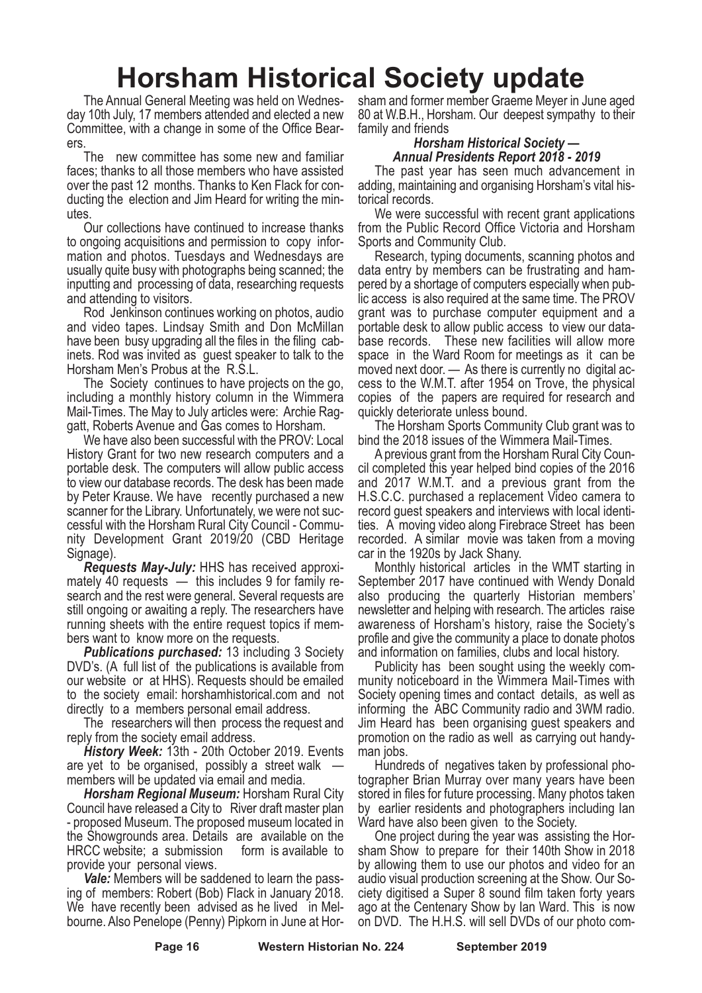### **Horsham Historical Society update**

The Annual General Meeting was held on Wednesday 10th July, 17 members attended and elected a new Committee, with a change in some of the Office Bearers.

The new committee has some new and familiar faces; thanks to all those members who have assisted over the past 12 months. Thanks to Ken Flack for conducting the election and Jim Heard for writing the minutes.

Our collections have continued to increase thanks to ongoing acquisitions and permission to copy information and photos. Tuesdays and Wednesdays are usually quite busy with photographs being scanned; the inputting and processing of data, researching requests and attending to visitors.

Rod Jenkinson continues working on photos, audio and video tapes. Lindsay Smith and Don McMillan have been busy upgrading all the files in the filing cabinets. Rod was invited as guest speaker to talk to the Horsham Men's Probus at the R.S.L.

The Society continues to have projects on the go, including a monthly history column in the Wimmera Mail-Times. The May to July articles were: Archie Raggatt, Roberts Avenue and Gas comes to Horsham.

We have also been successful with the PROV: Local History Grant for two new research computers and a portable desk. The computers will allow public access to view our database records. The desk has been made by Peter Krause. We have recently purchased a new scanner for the Library. Unfortunately, we were not successful with the Horsham Rural City Council - Community Development Grant 2019/20 (CBD Heritage Signage).

*Requests May-July:* HHS has received approximately 40 requests — this includes 9 for family research and the rest were general. Several requests are still ongoing or awaiting a reply. The researchers have running sheets with the entire request topics if members want to know more on the requests.

*Publications purchased:* 13 including 3 Society DVD's. (A full list of the publications is available from our website or at HHS). Requests should be emailed to the society email: horshamhistorical.com and not directly to a members personal email address.

The researchers will then process the request and reply from the society email address.

*History Week:* 13th - 20th October 2019. Events are yet to be organised, possibly a street walk members will be updated via email and media.

*Horsham Regional Museum:* Horsham Rural City Council have released a City to River draft master plan - proposed Museum. The proposed museum located in the Showgrounds area. Details are available on the HRCC website; a submission form is available to provide your personal views.

*Vale:* Members will be saddened to learn the passing of members: Robert (Bob) Flack in January 2018. We have recently been advised as he lived in Melbourne. Also Penelope (Penny) Pipkorn in June at Horsham and former member Graeme Meyer in June aged 80 at W.B.H., Horsham. Our deepest sympathy to their family and friends

### *Horsham Historical Society — Annual Presidents Report 2018 - 2019*

The past year has seen much advancement in adding, maintaining and organising Horsham's vital historical records.

We were successful with recent grant applications from the Public Record Office Victoria and Horsham Sports and Community Club.

Research, typing documents, scanning photos and data entry by members can be frustrating and hampered by a shortage of computers especially when public access is also required at the same time. The PROV grant was to purchase computer equipment and a portable desk to allow public access to view our database records. These new facilities will allow more space in the Ward Room for meetings as it can be moved next door. — As there is currently no digital access to the W.M.T. after 1954 on Trove, the physical copies of the papers are required for research and quickly deteriorate unless bound.

The Horsham Sports Community Club grant was to bind the 2018 issues of the Wimmera Mail-Times.

A previous grant from the Horsham Rural City Council completed this year helped bind copies of the 2016 and 2017 W.M.T. and a previous grant from the H.S.C.C. purchased a replacement Video camera to record guest speakers and interviews with local identities. A moving video along Firebrace Street has been recorded. A similar movie was taken from a moving car in the 1920s by Jack Shany.

Monthly historical articles in the WMT starting in September 2017 have continued with Wendy Donald also producing the quarterly Historian members' newsletter and helping with research. The articles raise awareness of Horsham's history, raise the Society's profile and give the community a place to donate photos and information on families, clubs and local history.

Publicity has been sought using the weekly community noticeboard in the Wimmera Mail-Times with Society opening times and contact details, as well as informing the ABC Community radio and 3WM radio. Jim Heard has been organising guest speakers and promotion on the radio as well as carrying out handyman jobs.

Hundreds of negatives taken by professional photographer Brian Murray over many years have been stored in files for future processing. Many photos taken by earlier residents and photographers including Ian Ward have also been given to the Society.

One project during the year was assisting the Horsham Show to prepare for their 140th Show in 2018 by allowing them to use our photos and video for an audio visual production screening at the Show. Our Society digitised a Super 8 sound film taken forty years ago at the Centenary Show by Ian Ward. This is now on DVD. The H.H.S. will sell DVDs of our photo com-

**Page 16 Western Historian No. 224 September 2019**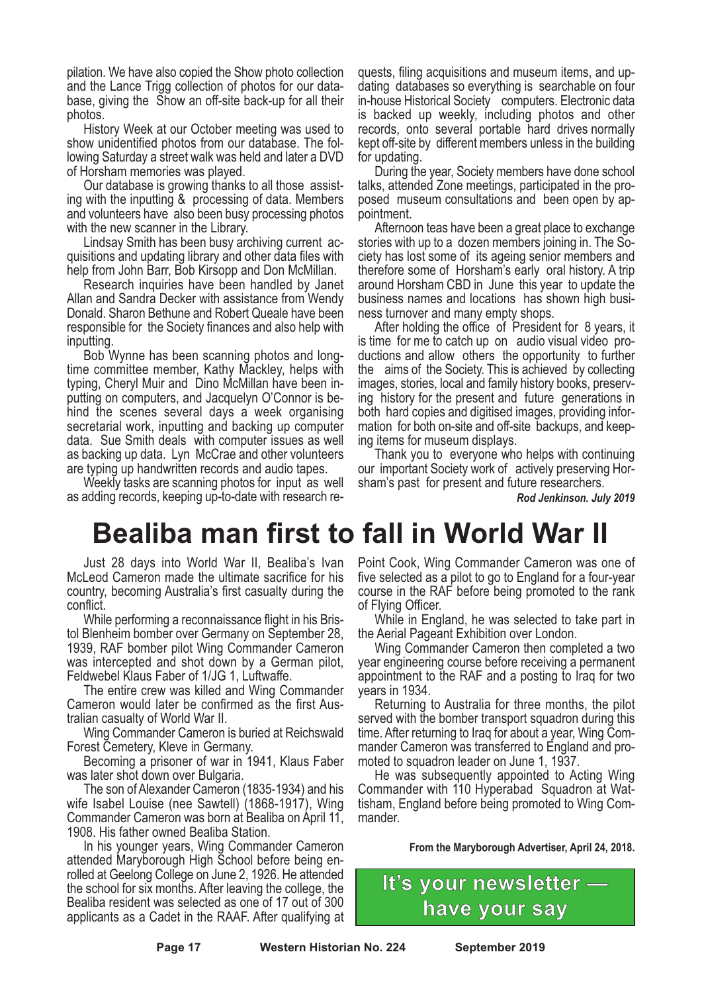pilation. We have also copied the Show photo collection and the Lance Trigg collection of photos for our data- base, giving the Show an off-site back-up for all their

photos. History Week at our October meeting was used to show unidentified photos from our database. The fol- lowing Saturday <sup>a</sup> street walk was held and later <sup>a</sup> DVD

of Horsham memories was played. Our database is growing thanks to all those assist- ing with the inputting & processing of data. Members and volunteers have also been busy processing photos

with the new scanner in the Library.<br>Lindsay Smith has been busy archiving current acquisitions and updating library and other data files with help from John Barr, Bob Kirsopp and Don McMillan.

Research inquiries have been handled by Janet Allan and Sandra Decker with assistance from Wendy Donald. Sharon Bethune and Robert Queale have been responsible for the Society finances and also help with inputting.

Bob Wynne has been scanning photos and longtime committee member, Kathy Mackley, helps with typing, Cheryl Muir and Dino McMillan have been inputting on computers, and Jacquelyn O'Connor is behind the scenes several days a week organising secretarial work, inputting and backing up computer data. Sue Smith deals with computer issues as well as backing up data. Lyn McCrae and other volunteers are typing up handwritten records and audio tapes.

Weekly tasks are scanning photos for input as well as adding records, keeping up-to-date with research re-

## **Bealiba man first to fall in World War II**

Just 28 days into World War II, Bealiba's Ivan McLeod Cameron made the ultimate sacrifice for his country, becoming Australia's first casualty during the conflict.

While performing a reconnaissance flight in his Bristol Blenheim bomber over Germany on September 28, 1939, RAF bomber pilot Wing Commander Cameron was intercepted and shot down by a German pilot, Feldwebel Klaus Faber of 1/JG 1, Luftwaffe.

The entire crew was killed and Wing Commander Cameron would later be confirmed as the first Australian casualty of World War II.

Wing Commander Cameron is buried at Reichswald Forest Cemetery, Kleve in Germany.

Becoming a prisoner of war in 1941, Klaus Faber was later shot down over Bulgaria.

The son of Alexander Cameron (1835-1934) and his wife Isabel Louise (nee Sawtell) (1868-1917), Wing Commander Cameron was born at Bealiba on April 11, 1908. His father owned Bealiba Station.

In his younger years, Wing Commander Cameron attended Maryborough High School before being enrolled at Geelong College on June 2, 1926. He attended the school for six months. After leaving the college, the Bealiba resident was selected as one of 17 out of 300 applicants as a Cadet in the RAAF. After qualifying at quests, filing acquisitions and museum items, and up- dating databases so everything is searchable on four in-house Historical Society computers. Electronic data is backed up weekly, including photos and other records, onto several portable hard drives normally kept off-site by different members unless in the building for updating.

During the year, Society members have done school talks, attended Zone meetings, participated in the proposed museum consultations and been open by appointment.

Afternoon teas have been a great place to exchange stories with up to a dozen members joining in. The Society has lost some of its ageing senior members and therefore some of Horsham's early oral history. A trip around Horsham CBD in June this year to update the business names and locations has shown high business turnover and many empty shops.

After holding the office of President for 8 years, it is time for me to catch up on audio visual video productions and allow others the opportunity to further the aims of the Society. This is achieved by collecting images, stories, local and family history books, preserving history for the present and future generations in both hard copies and digitised images, providing information for both on-site and off-site backups, and keeping items for museum displays.

Thank you to everyone who helps with continuing our important Society work of actively preserving Horsham's past for present and future researchers.

*Rod Jenkinson. July 2019*

Point Cook, Wing Commander Cameron was one of five selected as a pilot to go to England for a four-year course in the RAF before being promoted to the rank of Flying Officer.

While in England, he was selected to take part in the Aerial Pageant Exhibition over London.

Wing Commander Cameron then completed a two year engineering course before receiving a permanent appointment to the RAF and a posting to Iraq for two years in 1934.

Returning to Australia for three months, the pilot served with the bomber transport squadron during this time. After returning to Iraq for about a year, Wing Commander Cameron was transferred to England and promoted to squadron leader on June 1, 1937.

He was subsequently appointed to Acting Wing Commander with 110 Hyperabad Squadron at Wattisham, England before being promoted to Wing Commander.

**From the Maryborough Advertiser, April 24, 2018.**



**Page 17 Western Historian No. 224 September 2019**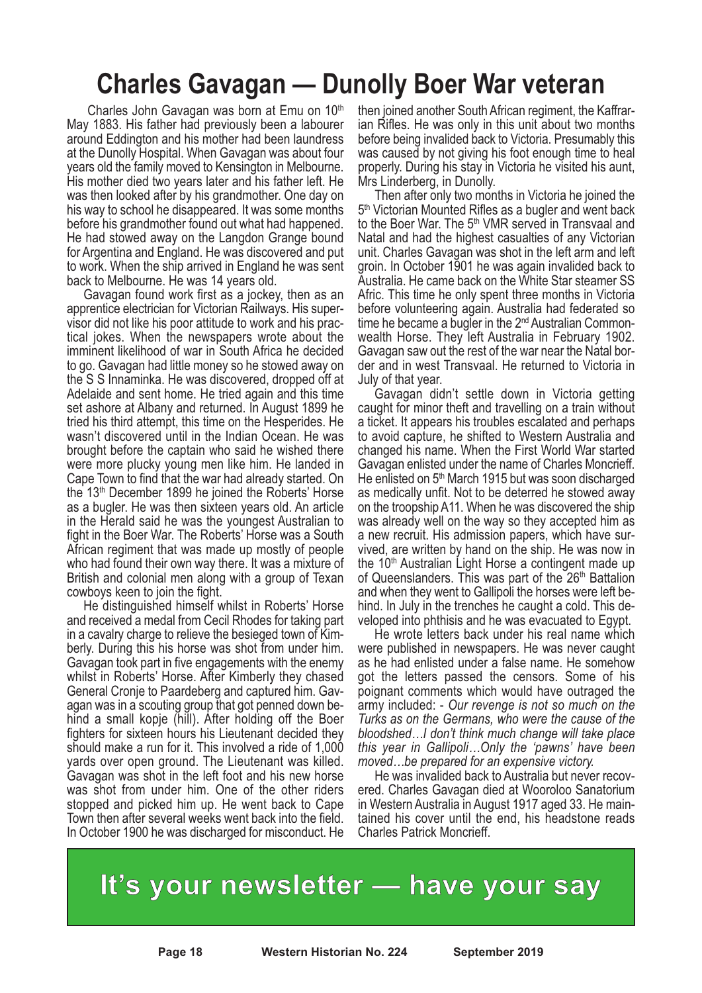### **Charles Gavagan — Dunolly Boer War veteran**

Charles John Gavagan was born at Emu on 10th May 1883. His father had previously been a labourer around Eddington and his mother had been laundress at the Dunolly Hospital. When Gavagan was about four years old the family moved to Kensington in Melbourne. His mother died two years later and his father left. He was then looked after by his grandmother. One day on his way to school he disappeared. It was some months before his grandmother found out what had happened. He had stowed away on the Langdon Grange bound for Argentina and England. He was discovered and put to work. When the ship arrived in England he was sent back to Melbourne. He was 14 years old.

Gavagan found work first as a jockey, then as an apprentice electrician for Victorian Railways. His supervisor did not like his poor attitude to work and his practical jokes. When the newspapers wrote about the imminent likelihood of war in South Africa he decided to go. Gavagan had little money so he stowed away on the S S Innaminka. He was discovered, dropped off at Adelaide and sent home. He tried again and this time set ashore at Albany and returned. In August 1899 he tried his third attempt, this time on the Hesperides. He wasn't discovered until in the Indian Ocean. He was brought before the captain who said he wished there were more plucky young men like him. He landed in Cape Town to find that the war had already started. On the  $13<sup>th</sup>$  December 1899 he joined the Roberts' Horse as a bugler. He was then sixteen years old. An article in the Herald said he was the youngest Australian to fight in the Boer War. The Roberts' Horse was a South African regiment that was made up mostly of people who had found their own way there. It was a mixture of British and colonial men along with a group of Texan

cowboys keen to join the fight. He distinguished himself whilst in Roberts' Horse and received a medal from Cecil Rhodes for taking part in <sup>a</sup> cavalry charge to relieve the besieged town of Kim- berly. During this his horse was shot from under him. Gavagan took part in five engagements with the enemy whilst in Roberts' Horse. After Kimberly they chased General Cronje to Paardeberg and captured him. Gav- agan was in <sup>a</sup> scouting group that got penned down be- hind <sup>a</sup> small kopje (hill). After holding off the Boer fighters for sixteen hours his Lieutenant decided they should make a run for it. This involved a ride of 1,000 yards over open ground. The Lieutenant was killed. Gavagan was shot in the left foot and his new horse was shot from under him. One of the other riders stopped and picked him up. He went back to Cape Town then after several weeks went back into the field. In October 1900 he was discharged for misconduct. He

then joined another South African regiment, the Kaffrar- ian Rifles. He was only in this unit about two months before being invalided back to Victoria. Presumably this was caused by not giving his foot enough time to heal properly. During his stay in Victoria he visited his aunt, Mrs Linderberg, in Dunolly. Then after only two months in Victoria he joined the

5<sup>th</sup> Victorian Mounted Rifles as a bugler and went back to the Boer War. The 5<sup>th</sup> VMR served in Transvaal and Natal and had the highest casualties of any Victorian unit. Charles Gavagan was shot in the left arm and left groin. In October 1901 he was again invalided back to Australia. He came back on the White Star steamer SS Afric. This time he only spent three months in Victoria before volunteering again. Australia had federated so time he became a bugler in the 2<sup>nd</sup> Australian Commonwealth Horse. They left Australia in February 1902. Gavagan saw out the rest of the war near the Natal border and in west Transvaal. He returned to Victoria in July of that year.

Gavagan didn't settle down in Victoria getting caught for minor theft and travelling on a train without a ticket. It appears his troubles escalated and perhaps to avoid capture, he shifted to Western Australia and changed his name. When the First World War started Gavagan enlisted under the name of Charles Moncrieff. He enlisted on  $5<sup>th</sup>$  March 1915 but was soon discharged as medically unfit. Not to be deterred he stowed away on the troopship A11. When he was discovered the ship was already well on the way so they accepted him as a new recruit. His admission papers, which have survived, are written by hand on the ship. He was now in the  $10<sup>th</sup>$  Australian Light Horse a contingent made up of Queenslanders. This was part of the  $26<sup>th</sup>$  Battalion and when they went to Gallipoli the horses were left be-<br>hind. In July in the trenches he caught a cold. This de-<br>veloped into phthisis and he was evacuated to Egypt.<br>He wrote letters back under his real name which

were published in newspapers. He was never caught as he had enlisted under a false name. He somehow got the letters passed the censors. Some of his poignant comments which would have outraged the army included: - *Our revenge is not so much on the Turks as on the Germans, who were the cause of the bloodshed…I don't think much change will take place this year in Gallipoli…Only the 'pawns' have been*

*moved…be prepared for an expensive victory.* He was invalided back to Australia but never recov- ered. Charles Gavagan died at Wooroloo Sanatorium in Western Australia in August <sup>1917</sup> aged 33. He main- tained his cover until the end, his headstone reads Charles Patrick Moncrieff.

**It's your newsletter — have your say**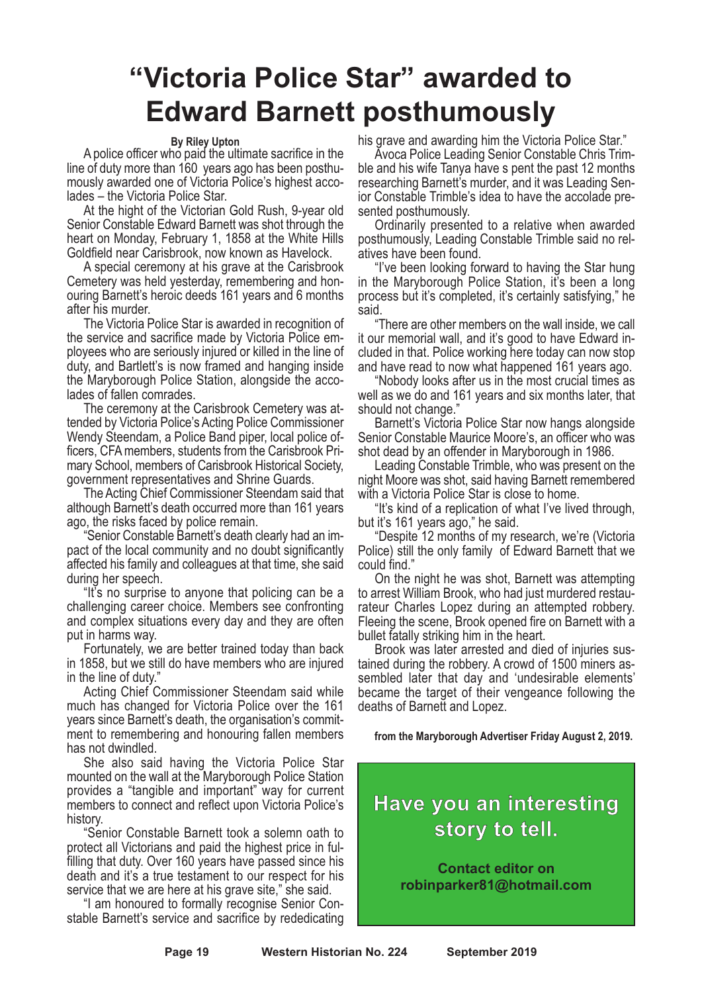### **"Victoria Police Star" awarded to Edward Barnett posthumously**

#### **By Riley Upton**

A police officer who paid the ultimate sacrifice in the line of duty more than <sup>160</sup> years ago has been posthu- mously awarded one of Victoria Police's highest acco- lades – the Victoria Police Star.

At the hight of the Victorian Gold Rush, 9-year old Senior Constable Edward Barnett was shot through the heart on Monday, February 1, 1858 at the White Hills Goldfield near Carisbrook, now known as Havelock.

A special ceremony at his grave at the Carisbrook Cemetery was held yesterday, remembering and honouring Barnett's heroic deeds 161 years and 6 months after his murder.

The Victoria Police Star is awarded in recognition of the service and sacrifice made by Victoria Police employees who are seriously injured or killed in the line of duty, and Bartlett's is now framed and hanging inside the Maryborough Police Station, alongside the accolades of fallen comrades.

The ceremony at the Carisbrook Cemetery was attended by Victoria Police's Acting Police Commissioner Wendy Steendam, a Police Band piper, local police officers, CFAmembers, students from the Carisbrook Primary School, members of Carisbrook Historical Society, government representatives and Shrine Guards.

The Acting Chief Commissioner Steendam said that although Barnett's death occurred more than 161 years ago, the risks faced by police remain.

"Senior Constable Barnett's death clearly had an impact of the local community and no doubt significantly affected his family and colleagues at that time, she said during her speech.

"It's no surprise to anyone that policing can be a challenging career choice. Members see confronting and complex situations every day and they are often put in harms way.

Fortunately, we are better trained today than back in 1858, but we still do have members who are injured in the line of duty."

Acting Chief Commissioner Steendam said while much has changed for Victoria Police over the 161 years since Barnett's death, the organisation's commitment to remembering and honouring fallen members has not dwindled.

She also said having the Victoria Police Star mounted on the wall at the Maryborough Police Station provides a "tangible and important" way for current members to connect and reflect upon Victoria Police's history.

"Senior Constable Barnett took a solemn oath to protect all Victorians and paid the highest price in fulfilling that duty. Over 160 years have passed since his death and it's a true testament to our respect for his service that we are here at his grave site," she said.

"I am honoured to formally recognise Senior Constable Barnett's service and sacrifice by rededicating

his grave and awarding him the Victoria Police Star." Avoca Police Leading Senior Constable Chris Trim- ble and his wife Tanya have <sup>s</sup> pent the past <sup>12</sup> months researching Barnett's murder, and it was Leading Sen- ior Constable Trimble's idea to have the accolade presented posthumously.

Ordinarily presented to a relative when awarded posthumously, Leading Constable Trimble said no rel- atives have been found. "I've been looking forward to having the Star hung

in the Maryborough Police Station, it's been a long process but it's completed, it's certainly satisfying," he said.

"There are other members on the wall inside, we call it our memorial wall, and it's good to have Edward in- cluded in that. Police working here today can now stop and have read to now what happened <sup>161</sup> years ago. "Nobody looks after us in the most crucial times as

well as we do and 161 years and six months later, that should not change." Barnett's Victoria Police Star now hangs alongside

Senior Constable Maurice Moore's, an officer who was shot dead by an offender in Maryborough in 1986. Leading Constable Trimble, who was present on the

night Moore was shot, said having Barnett remembered

with a Victoria Police Star is close to home.<br>"It's kind of a replication of what I've lived through,<br>but it's 161 years ago," he said.<br>"Despite 12 months of my research, we're (Victoria

Police) still the only family of Edward Barnett that we could find."

On the night he was shot, Barnett was attempting to arrest William Brook, who had just murdered restau- rateur Charles Lopez during an attempted robbery. Fleeing the scene, Brook opened fire on Barnett with a bullet fatally striking him in the heart.

Brook was later arrested and died of injuries sustained during the robbery. A crowd of 1500 miners assembled later that day and 'undesirable elements' became the target of their vengeance following the deaths of Barnett and Lopez.

**from the Maryborough Advertiser Friday August 2, 2019.**

### **Have you an interesting story to tell.**

**Contact editor on robinparker81@hotmail.com**